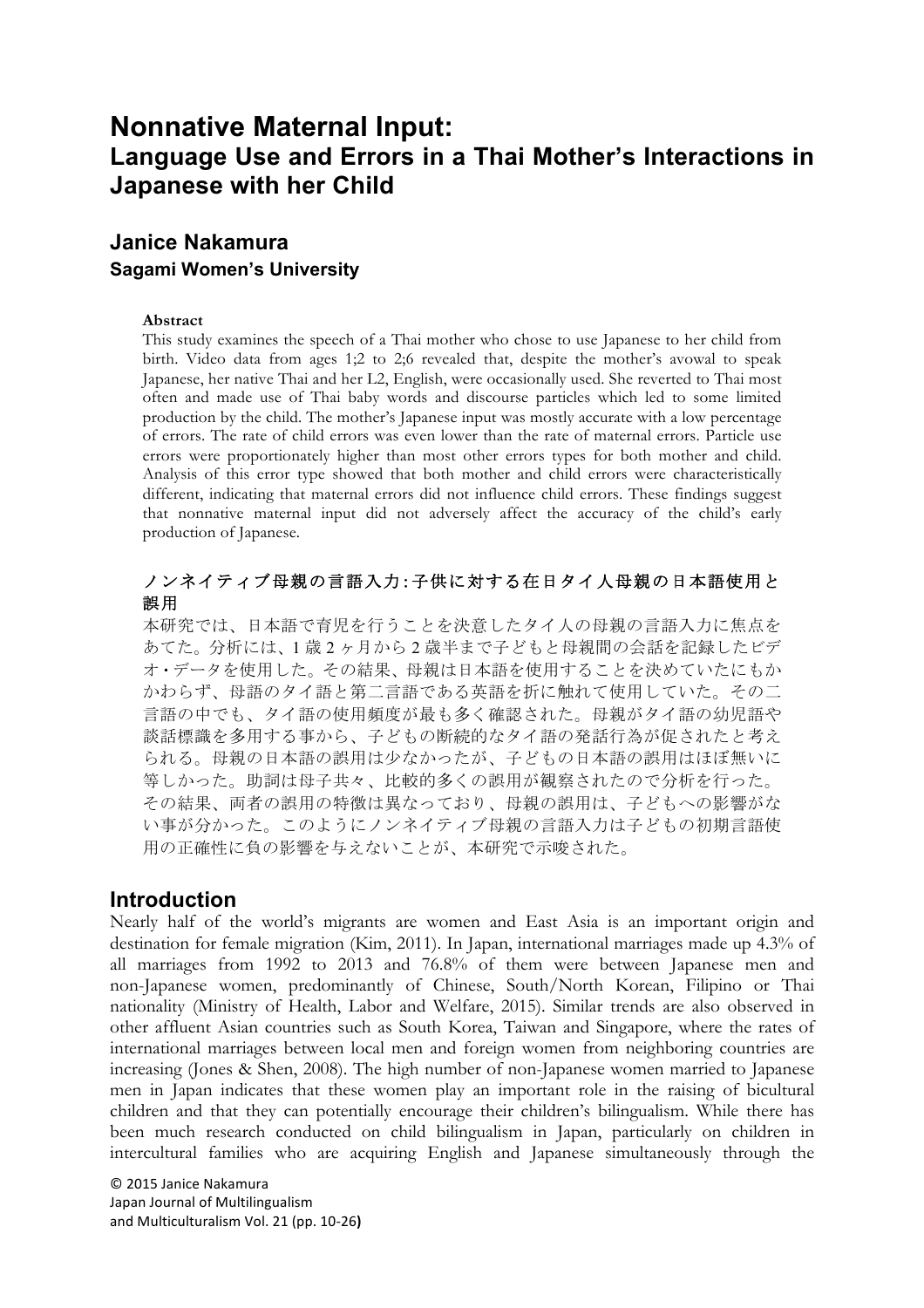# **Nonnative Maternal Input: Language Use and Errors in a Thai Mother's Interactions in Japanese with her Child**

## **Janice Nakamura Sagami Women's University**

#### **Abstract**

This study examines the speech of a Thai mother who chose to use Japanese to her child from birth. Video data from ages 1;2 to 2;6 revealed that, despite the mother's avowal to speak Japanese, her native Thai and her L2, English, were occasionally used. She reverted to Thai most often and made use of Thai baby words and discourse particles which led to some limited production by the child. The mother's Japanese input was mostly accurate with a low percentage of errors. The rate of child errors was even lower than the rate of maternal errors. Particle use errors were proportionately higher than most other errors types for both mother and child. Analysis of this error type showed that both mother and child errors were characteristically different, indicating that maternal errors did not influence child errors. These findings suggest that nonnative maternal input did not adversely affect the accuracy of the child's early production of Japanese.

## ノンネイティブ母親の言語入力:子供に対する在日タイ人母親の日本語使用と 誤用

本研究では、日本語で育児を行うことを決意したタイ人の母親の言語入力に焦点を あてた。分析には、1 歳 2 ヶ月から 2 歳半まで子どもと母親間の会話を記録したビデ オ・データを使用した。その結果、母親は日本語を使用することを決めていたにもか かわらず、母語のタイ語と第二言語である英語を折に触れて使用していた。その二 言語の中でも、タイ語の使用頻度が最も多く確認された。母親がタイ語の幼児語や 談話標識を多用する事から、子どもの断続的なタイ語の発話行為が促されたと考え られる。母親の日本語の誤用は少なかったが、子どもの日本語の誤用はほぼ無いに 等しかった。助詞は母子共々、比較的多くの誤用が観察されたので分析を行った。 その結果、両者の誤用の特徴は異なっており、母親の誤用は、子どもへの影響がな い事が分かった。このようにノンネイティブ母親の言語入力は子どもの初期言語使 用の正確性に負の影響を与えないことが、本研究で示唆された。

## **Introduction**

Nearly half of the world's migrants are women and East Asia is an important origin and destination for female migration (Kim, 2011). In Japan, international marriages made up 4.3% of all marriages from 1992 to 2013 and 76.8% of them were between Japanese men and non-Japanese women, predominantly of Chinese, South/North Korean, Filipino or Thai nationality (Ministry of Health, Labor and Welfare, 2015). Similar trends are also observed in other affluent Asian countries such as South Korea, Taiwan and Singapore, where the rates of international marriages between local men and foreign women from neighboring countries are increasing (Jones & Shen, 2008). The high number of non-Japanese women married to Japanese men in Japan indicates that these women play an important role in the raising of bicultural children and that they can potentially encourage their children's bilingualism. While there has been much research conducted on child bilingualism in Japan, particularly on children in intercultural families who are acquiring English and Japanese simultaneously through the

© 2015 Janice Nakamura Japan Journal of Multilingualism and Multiculturalism Vol. 21 (pp. 10-26)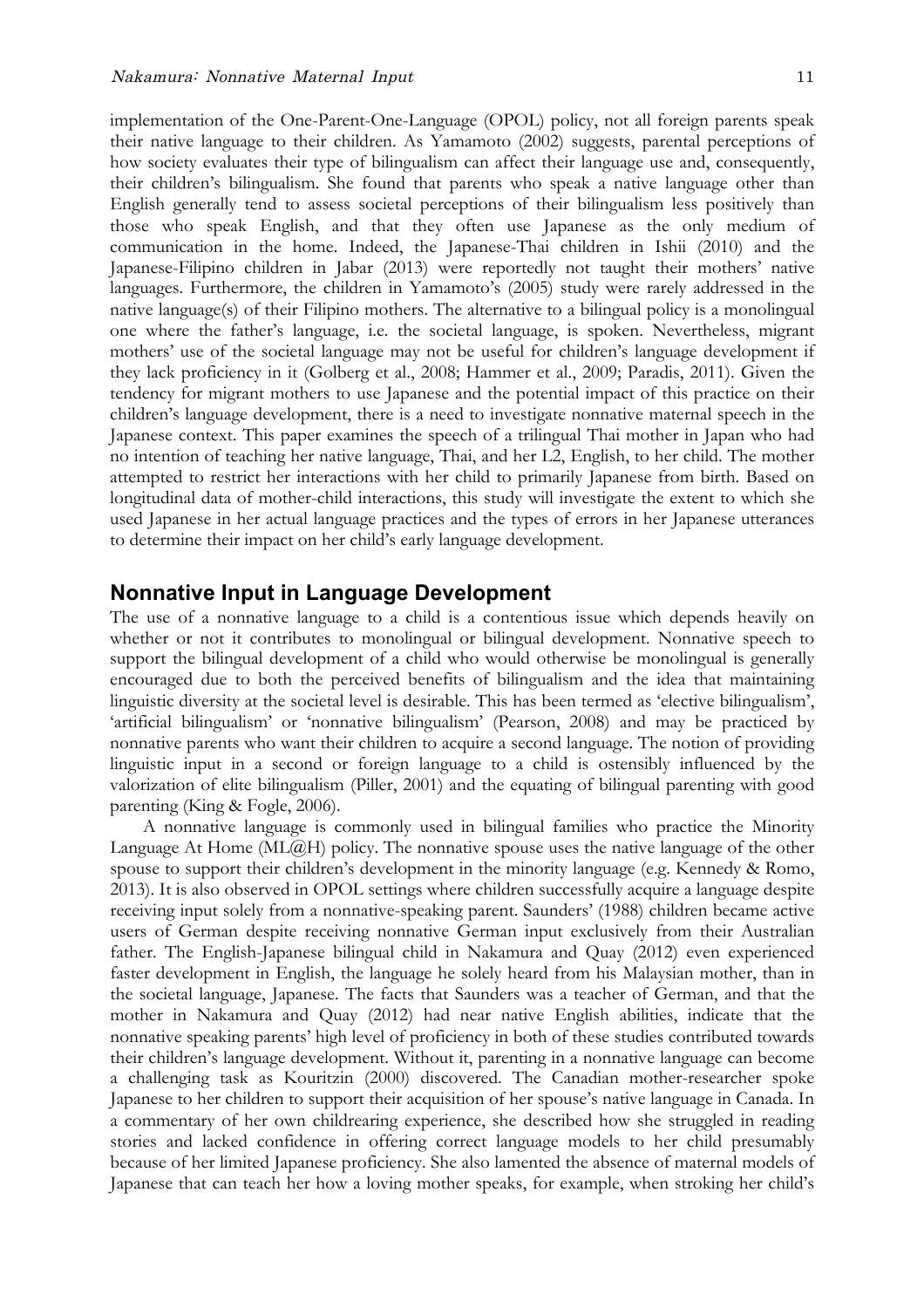implementation of the One-Parent-One-Language (OPOL) policy, not all foreign parents speak their native language to their children. As Yamamoto (2002) suggests, parental perceptions of how society evaluates their type of bilingualism can affect their language use and, consequently, their children's bilingualism. She found that parents who speak a native language other than English generally tend to assess societal perceptions of their bilingualism less positively than those who speak English, and that they often use Japanese as the only medium of communication in the home. Indeed, the Japanese-Thai children in Ishii (2010) and the Japanese-Filipino children in Jabar (2013) were reportedly not taught their mothers' native languages. Furthermore, the children in Yamamoto's (2005) study were rarely addressed in the native language(s) of their Filipino mothers. The alternative to a bilingual policy is a monolingual one where the father's language, i.e. the societal language, is spoken. Nevertheless, migrant mothers' use of the societal language may not be useful for children's language development if they lack proficiency in it (Golberg et al., 2008; Hammer et al., 2009; Paradis, 2011). Given the tendency for migrant mothers to use Japanese and the potential impact of this practice on their children's language development, there is a need to investigate nonnative maternal speech in the Japanese context. This paper examines the speech of a trilingual Thai mother in Japan who had no intention of teaching her native language, Thai, and her L2, English, to her child. The mother attempted to restrict her interactions with her child to primarily Japanese from birth. Based on longitudinal data of mother-child interactions, this study will investigate the extent to which she used Japanese in her actual language practices and the types of errors in her Japanese utterances to determine their impact on her child's early language development.

## **Nonnative Input in Language Development**

The use of a nonnative language to a child is a contentious issue which depends heavily on whether or not it contributes to monolingual or bilingual development. Nonnative speech to support the bilingual development of a child who would otherwise be monolingual is generally encouraged due to both the perceived benefits of bilingualism and the idea that maintaining linguistic diversity at the societal level is desirable. This has been termed as 'elective bilingualism', 'artificial bilingualism' or 'nonnative bilingualism' (Pearson, 2008) and may be practiced by nonnative parents who want their children to acquire a second language. The notion of providing linguistic input in a second or foreign language to a child is ostensibly influenced by the valorization of elite bilingualism (Piller, 2001) and the equating of bilingual parenting with good parenting (King & Fogle, 2006).

A nonnative language is commonly used in bilingual families who practice the Minority Language At Home (ML@H) policy. The nonnative spouse uses the native language of the other spouse to support their children's development in the minority language (e.g. Kennedy & Romo, 2013). It is also observed in OPOL settings where children successfully acquire a language despite receiving input solely from a nonnative-speaking parent. Saunders' (1988) children became active users of German despite receiving nonnative German input exclusively from their Australian father. The English-Japanese bilingual child in Nakamura and Quay (2012) even experienced faster development in English, the language he solely heard from his Malaysian mother, than in the societal language, Japanese. The facts that Saunders was a teacher of German, and that the mother in Nakamura and Quay (2012) had near native English abilities, indicate that the nonnative speaking parents' high level of proficiency in both of these studies contributed towards their children's language development. Without it, parenting in a nonnative language can become a challenging task as Kouritzin (2000) discovered. The Canadian mother-researcher spoke Japanese to her children to support their acquisition of her spouse's native language in Canada. In a commentary of her own childrearing experience, she described how she struggled in reading stories and lacked confidence in offering correct language models to her child presumably because of her limited Japanese proficiency. She also lamented the absence of maternal models of Japanese that can teach her how a loving mother speaks, for example, when stroking her child's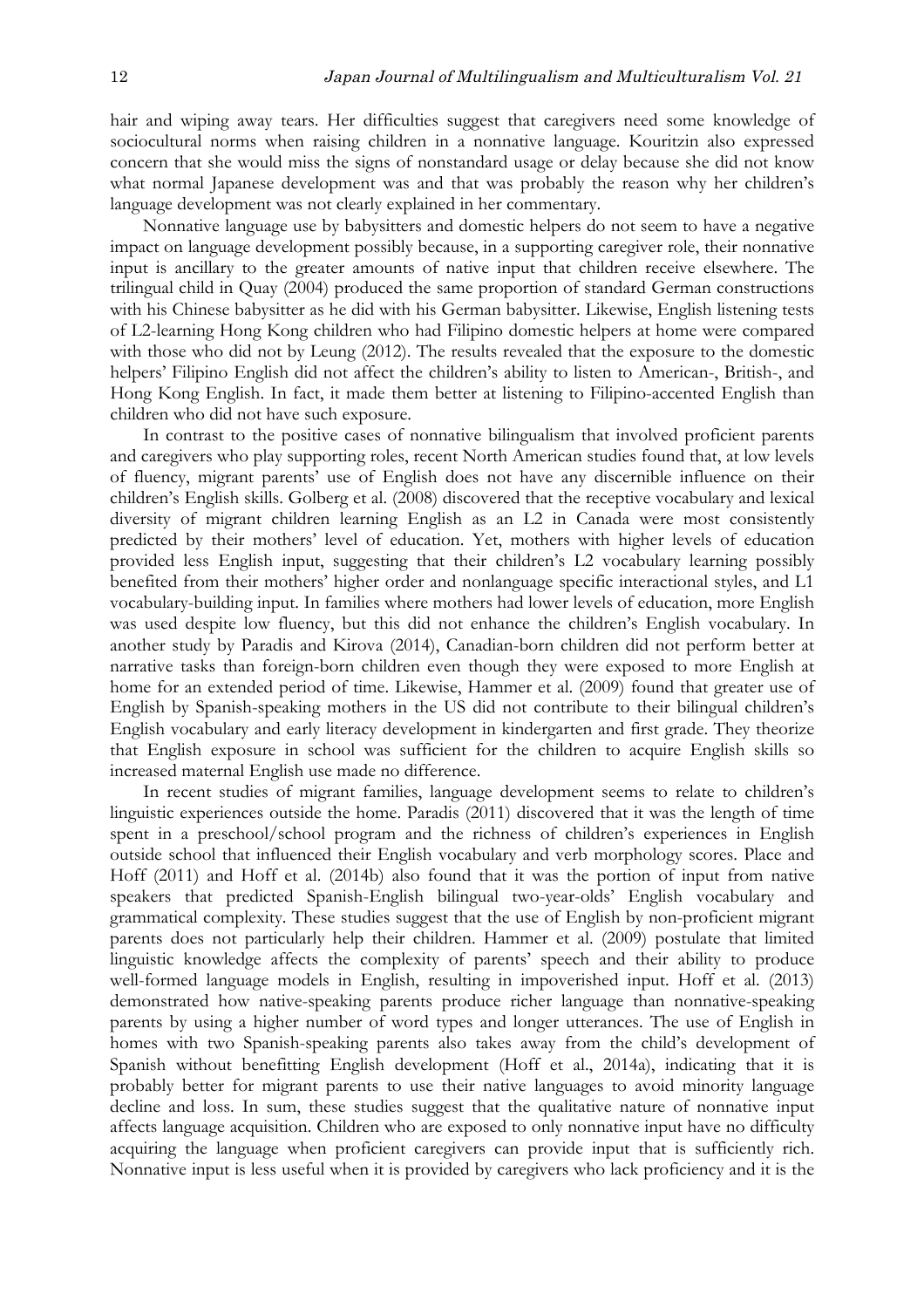hair and wiping away tears. Her difficulties suggest that caregivers need some knowledge of sociocultural norms when raising children in a nonnative language. Kouritzin also expressed concern that she would miss the signs of nonstandard usage or delay because she did not know what normal Japanese development was and that was probably the reason why her children's language development was not clearly explained in her commentary.

Nonnative language use by babysitters and domestic helpers do not seem to have a negative impact on language development possibly because, in a supporting caregiver role, their nonnative input is ancillary to the greater amounts of native input that children receive elsewhere. The trilingual child in Quay (2004) produced the same proportion of standard German constructions with his Chinese babysitter as he did with his German babysitter. Likewise, English listening tests of L2-learning Hong Kong children who had Filipino domestic helpers at home were compared with those who did not by Leung (2012). The results revealed that the exposure to the domestic helpers' Filipino English did not affect the children's ability to listen to American-, British-, and Hong Kong English. In fact, it made them better at listening to Filipino-accented English than children who did not have such exposure.

In contrast to the positive cases of nonnative bilingualism that involved proficient parents and caregivers who play supporting roles, recent North American studies found that, at low levels of fluency, migrant parents' use of English does not have any discernible influence on their children's English skills. Golberg et al. (2008) discovered that the receptive vocabulary and lexical diversity of migrant children learning English as an L2 in Canada were most consistently predicted by their mothers' level of education. Yet, mothers with higher levels of education provided less English input, suggesting that their children's L2 vocabulary learning possibly benefited from their mothers' higher order and nonlanguage specific interactional styles, and L1 vocabulary-building input. In families where mothers had lower levels of education, more English was used despite low fluency, but this did not enhance the children's English vocabulary. In another study by Paradis and Kirova (2014), Canadian-born children did not perform better at narrative tasks than foreign-born children even though they were exposed to more English at home for an extended period of time. Likewise, Hammer et al. (2009) found that greater use of English by Spanish-speaking mothers in the US did not contribute to their bilingual children's English vocabulary and early literacy development in kindergarten and first grade. They theorize that English exposure in school was sufficient for the children to acquire English skills so increased maternal English use made no difference.

In recent studies of migrant families, language development seems to relate to children's linguistic experiences outside the home. Paradis (2011) discovered that it was the length of time spent in a preschool/school program and the richness of children's experiences in English outside school that influenced their English vocabulary and verb morphology scores. Place and Hoff (2011) and Hoff et al. (2014b) also found that it was the portion of input from native speakers that predicted Spanish-English bilingual two-year-olds' English vocabulary and grammatical complexity. These studies suggest that the use of English by non-proficient migrant parents does not particularly help their children. Hammer et al. (2009) postulate that limited linguistic knowledge affects the complexity of parents' speech and their ability to produce well-formed language models in English, resulting in impoverished input. Hoff et al. (2013) demonstrated how native-speaking parents produce richer language than nonnative-speaking parents by using a higher number of word types and longer utterances. The use of English in homes with two Spanish-speaking parents also takes away from the child's development of Spanish without benefitting English development (Hoff et al., 2014a), indicating that it is probably better for migrant parents to use their native languages to avoid minority language decline and loss. In sum, these studies suggest that the qualitative nature of nonnative input affects language acquisition. Children who are exposed to only nonnative input have no difficulty acquiring the language when proficient caregivers can provide input that is sufficiently rich. Nonnative input is less useful when it is provided by caregivers who lack proficiency and it is the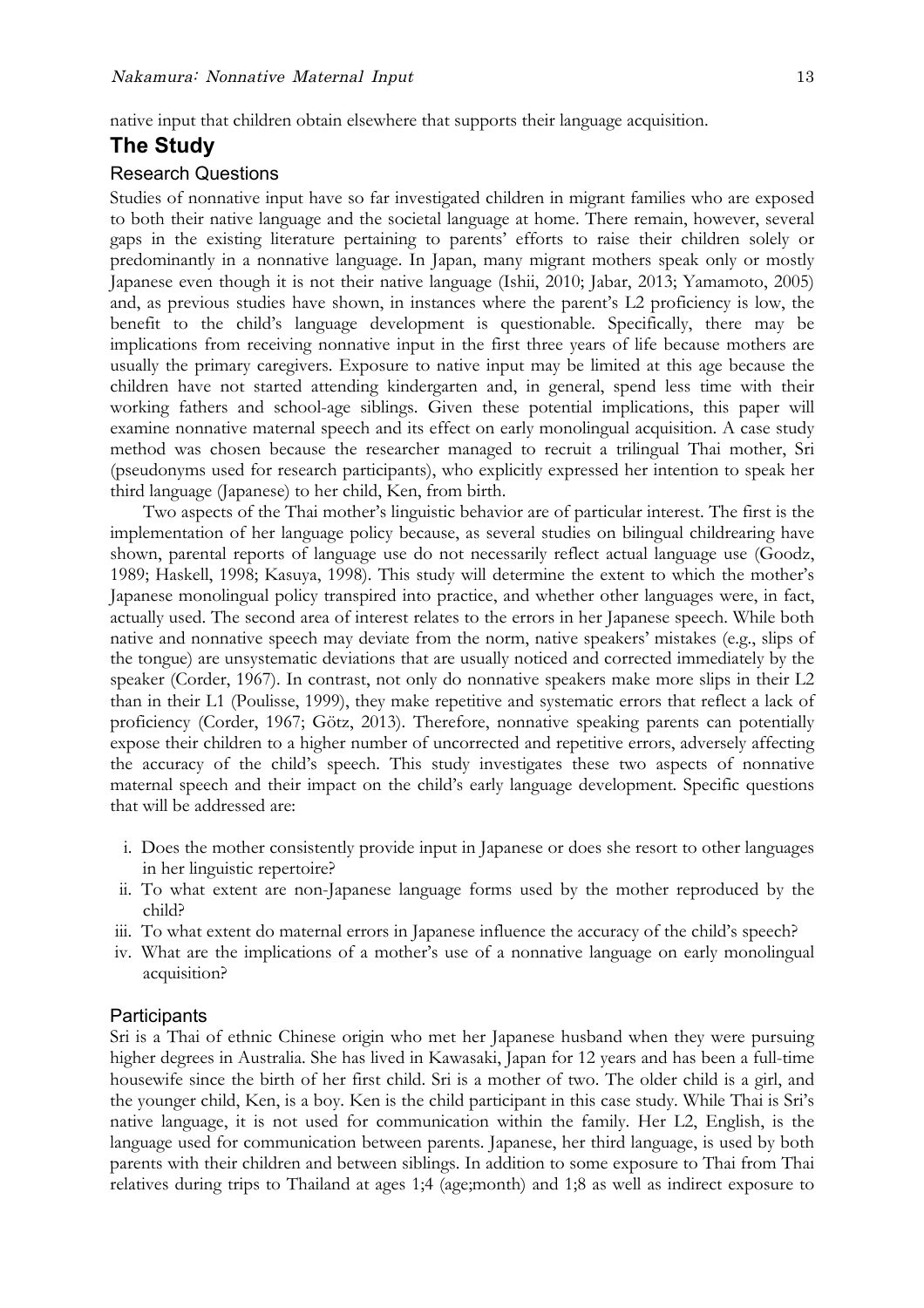## **The Study**

#### Research Questions

Studies of nonnative input have so far investigated children in migrant families who are exposed to both their native language and the societal language at home. There remain, however, several gaps in the existing literature pertaining to parents' efforts to raise their children solely or predominantly in a nonnative language. In Japan, many migrant mothers speak only or mostly Japanese even though it is not their native language (Ishii, 2010; Jabar, 2013; Yamamoto, 2005) and, as previous studies have shown, in instances where the parent's L2 proficiency is low, the benefit to the child's language development is questionable. Specifically, there may be implications from receiving nonnative input in the first three years of life because mothers are usually the primary caregivers. Exposure to native input may be limited at this age because the children have not started attending kindergarten and, in general, spend less time with their working fathers and school-age siblings. Given these potential implications, this paper will examine nonnative maternal speech and its effect on early monolingual acquisition. A case study method was chosen because the researcher managed to recruit a trilingual Thai mother, Sri (pseudonyms used for research participants), who explicitly expressed her intention to speak her third language (Japanese) to her child, Ken, from birth.

Two aspects of the Thai mother's linguistic behavior are of particular interest. The first is the implementation of her language policy because, as several studies on bilingual childrearing have shown, parental reports of language use do not necessarily reflect actual language use (Goodz, 1989; Haskell, 1998; Kasuya, 1998). This study will determine the extent to which the mother's Japanese monolingual policy transpired into practice, and whether other languages were, in fact, actually used. The second area of interest relates to the errors in her Japanese speech. While both native and nonnative speech may deviate from the norm, native speakers' mistakes (e.g., slips of the tongue) are unsystematic deviations that are usually noticed and corrected immediately by the speaker (Corder, 1967). In contrast, not only do nonnative speakers make more slips in their L2 than in their L1 (Poulisse, 1999), they make repetitive and systematic errors that reflect a lack of proficiency (Corder, 1967; Götz, 2013). Therefore, nonnative speaking parents can potentially expose their children to a higher number of uncorrected and repetitive errors, adversely affecting the accuracy of the child's speech. This study investigates these two aspects of nonnative maternal speech and their impact on the child's early language development. Specific questions that will be addressed are:

- i. Does the mother consistently provide input in Japanese or does she resort to other languages in her linguistic repertoire?
- ii. To what extent are non-Japanese language forms used by the mother reproduced by the child?
- iii. To what extent do maternal errors in Japanese influence the accuracy of the child's speech?
- iv. What are the implications of a mother's use of a nonnative language on early monolingual acquisition?

#### **Participants**

Sri is a Thai of ethnic Chinese origin who met her Japanese husband when they were pursuing higher degrees in Australia. She has lived in Kawasaki, Japan for 12 years and has been a full-time housewife since the birth of her first child. Sri is a mother of two. The older child is a girl, and the younger child, Ken, is a boy. Ken is the child participant in this case study. While Thai is Sri's native language, it is not used for communication within the family. Her L2, English, is the language used for communication between parents. Japanese, her third language, is used by both parents with their children and between siblings. In addition to some exposure to Thai from Thai relatives during trips to Thailand at ages 1;4 (age;month) and 1;8 as well as indirect exposure to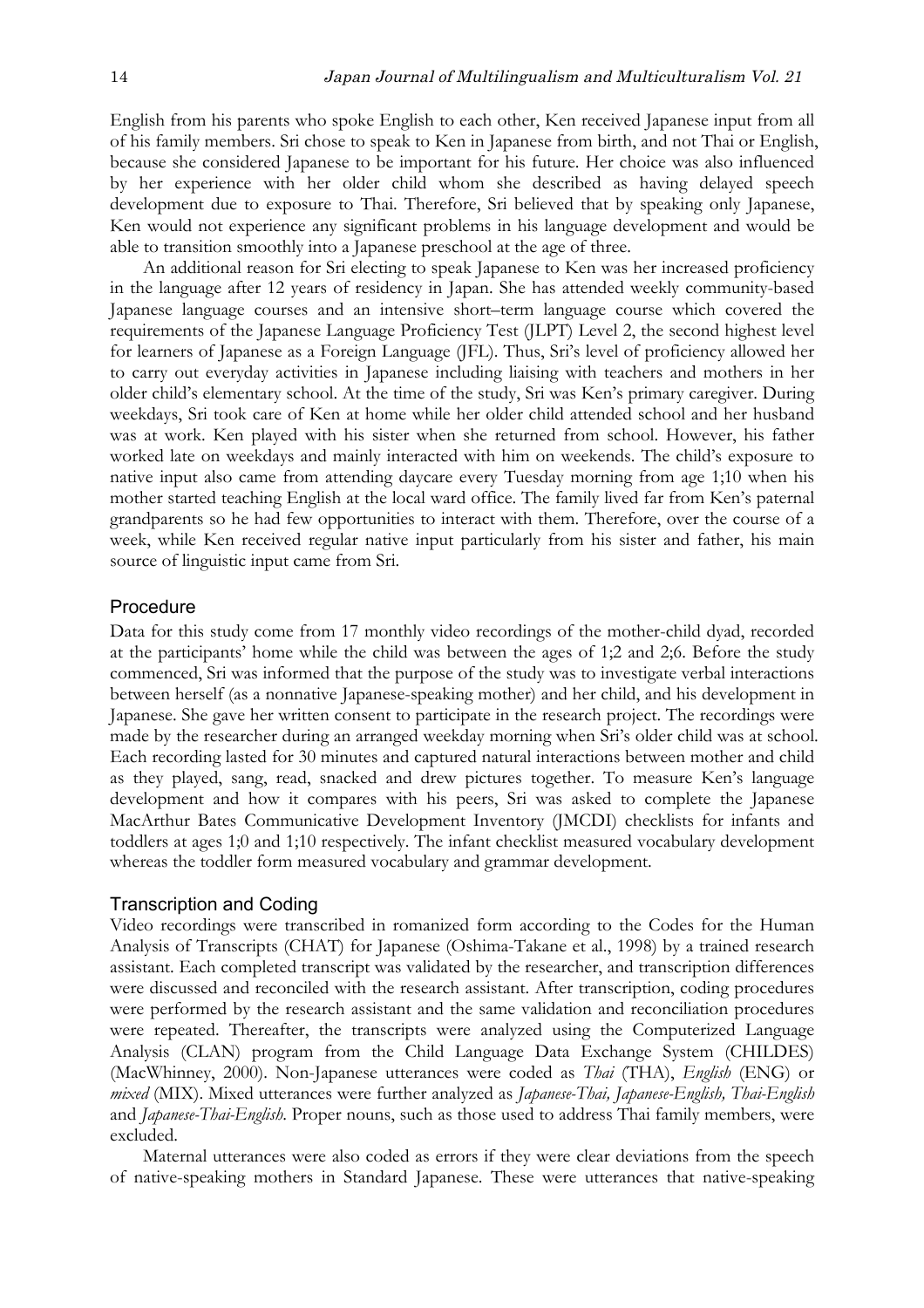English from his parents who spoke English to each other, Ken received Japanese input from all of his family members. Sri chose to speak to Ken in Japanese from birth, and not Thai or English, because she considered Japanese to be important for his future. Her choice was also influenced by her experience with her older child whom she described as having delayed speech development due to exposure to Thai. Therefore, Sri believed that by speaking only Japanese, Ken would not experience any significant problems in his language development and would be able to transition smoothly into a Japanese preschool at the age of three.

An additional reason for Sri electing to speak Japanese to Ken was her increased proficiency in the language after 12 years of residency in Japan. She has attended weekly community-based Japanese language courses and an intensive short–term language course which covered the requirements of the Japanese Language Proficiency Test (JLPT) Level 2, the second highest level for learners of Japanese as a Foreign Language (JFL). Thus, Sri's level of proficiency allowed her to carry out everyday activities in Japanese including liaising with teachers and mothers in her older child's elementary school. At the time of the study, Sri was Ken's primary caregiver. During weekdays, Sri took care of Ken at home while her older child attended school and her husband was at work. Ken played with his sister when she returned from school. However, his father worked late on weekdays and mainly interacted with him on weekends. The child's exposure to native input also came from attending daycare every Tuesday morning from age 1;10 when his mother started teaching English at the local ward office. The family lived far from Ken's paternal grandparents so he had few opportunities to interact with them. Therefore, over the course of a week, while Ken received regular native input particularly from his sister and father, his main source of linguistic input came from Sri.

#### Procedure

Data for this study come from 17 monthly video recordings of the mother-child dyad, recorded at the participants' home while the child was between the ages of 1;2 and 2;6. Before the study commenced, Sri was informed that the purpose of the study was to investigate verbal interactions between herself (as a nonnative Japanese-speaking mother) and her child, and his development in Japanese. She gave her written consent to participate in the research project. The recordings were made by the researcher during an arranged weekday morning when Sri's older child was at school. Each recording lasted for 30 minutes and captured natural interactions between mother and child as they played, sang, read, snacked and drew pictures together. To measure Ken's language development and how it compares with his peers, Sri was asked to complete the Japanese MacArthur Bates Communicative Development Inventory (JMCDI) checklists for infants and toddlers at ages 1;0 and 1;10 respectively. The infant checklist measured vocabulary development whereas the toddler form measured vocabulary and grammar development.

#### Transcription and Coding

Video recordings were transcribed in romanized form according to the Codes for the Human Analysis of Transcripts (CHAT) for Japanese (Oshima-Takane et al., 1998) by a trained research assistant. Each completed transcript was validated by the researcher, and transcription differences were discussed and reconciled with the research assistant. After transcription, coding procedures were performed by the research assistant and the same validation and reconciliation procedures were repeated. Thereafter, the transcripts were analyzed using the Computerized Language Analysis (CLAN) program from the Child Language Data Exchange System (CHILDES) (MacWhinney, 2000). Non-Japanese utterances were coded as *Thai* (THA), *English* (ENG) or *mixed* (MIX). Mixed utterances were further analyzed as *Japanese-Thai, Japanese-English, Thai-English* and *Japanese-Thai-English*. Proper nouns, such as those used to address Thai family members, were excluded.

Maternal utterances were also coded as errors if they were clear deviations from the speech of native-speaking mothers in Standard Japanese. These were utterances that native-speaking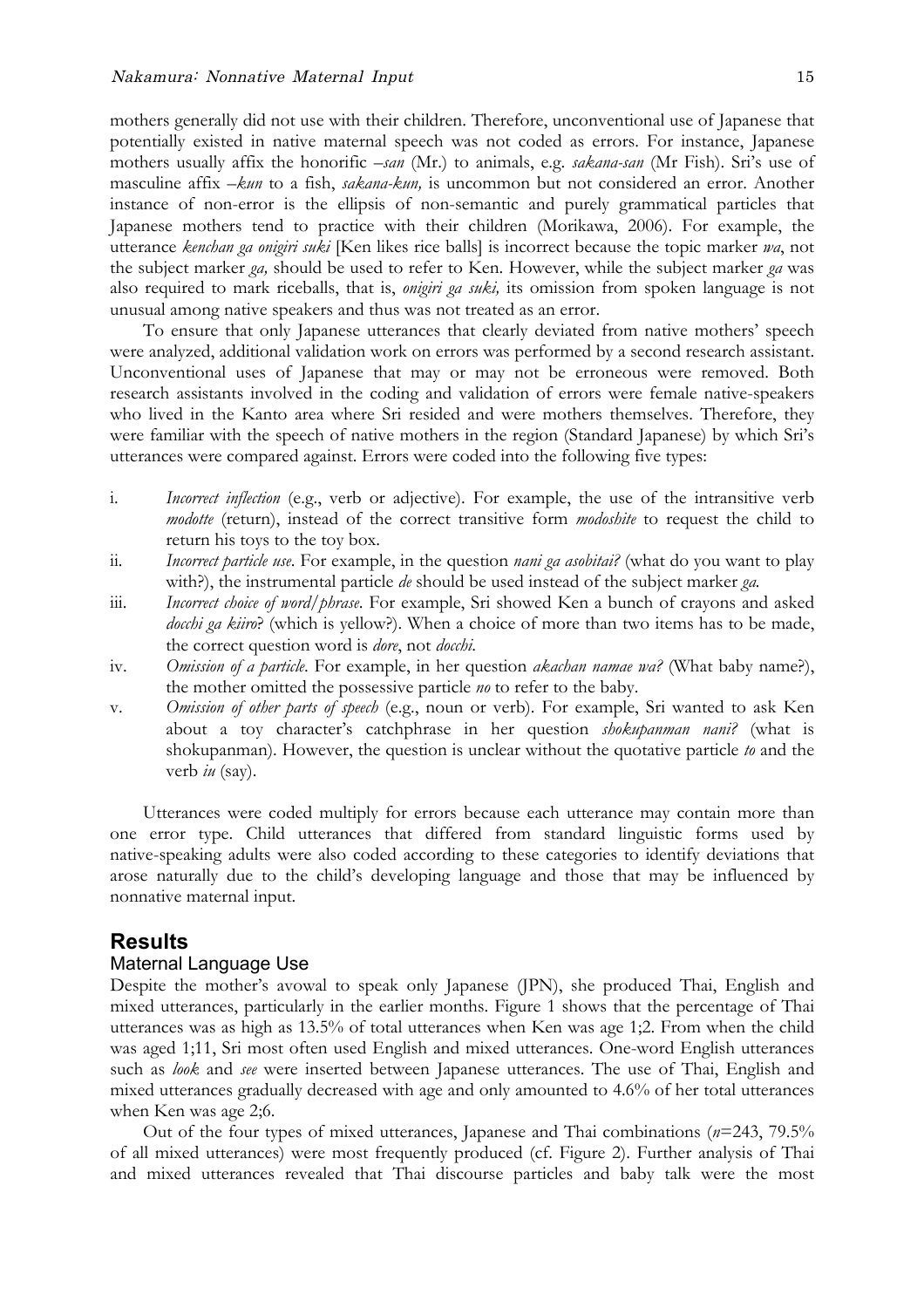mothers generally did not use with their children. Therefore, unconventional use of Japanese that potentially existed in native maternal speech was not coded as errors. For instance, Japanese mothers usually affix the honorific *–san* (Mr.) to animals, e.g. *sakana-san* (Mr Fish). Sri's use of masculine affix *–kun* to a fish, *sakana-kun,* is uncommon but not considered an error. Another instance of non-error is the ellipsis of non-semantic and purely grammatical particles that Japanese mothers tend to practice with their children (Morikawa, 2006). For example, the utterance *kenchan ga onigiri suki* [Ken likes rice balls] is incorrect because the topic marker *wa*, not the subject marker *ga,* should be used to refer to Ken. However, while the subject marker *ga* was also required to mark riceballs, that is, *onigiri ga suki,* its omission from spoken language is not unusual among native speakers and thus was not treated as an error.

To ensure that only Japanese utterances that clearly deviated from native mothers' speech were analyzed, additional validation work on errors was performed by a second research assistant. Unconventional uses of Japanese that may or may not be erroneous were removed. Both research assistants involved in the coding and validation of errors were female native-speakers who lived in the Kanto area where Sri resided and were mothers themselves. Therefore, they were familiar with the speech of native mothers in the region (Standard Japanese) by which Sri's utterances were compared against. Errors were coded into the following five types:

- i. *Incorrect inflection* (e.g., verb or adjective). For example, the use of the intransitive verb *modotte* (return), instead of the correct transitive form *modoshite* to request the child to return his toys to the toy box.
- ii. *Incorrect particle use*. For example, in the question *nani ga asobitai?* (what do you want to play with?), the instrumental particle *de* should be used instead of the subject marker *ga.*
- iii. *Incorrect choice of word/phrase*. For example, Sri showed Ken a bunch of crayons and asked *docchi ga kiiro*? (which is yellow?). When a choice of more than two items has to be made, the correct question word is *dore*, not *docchi*.
- iv. *Omission of a particle*. For example, in her question *akachan namae wa?* (What baby name?), the mother omitted the possessive particle *no* to refer to the baby.
- v. *Omission of other parts of speech* (e.g., noun or verb). For example, Sri wanted to ask Ken about a toy character's catchphrase in her question *shokupanman nani?* (what is shokupanman). However, the question is unclear without the quotative particle *to* and the verb *iu* (say).

Utterances were coded multiply for errors because each utterance may contain more than one error type. Child utterances that differed from standard linguistic forms used by native-speaking adults were also coded according to these categories to identify deviations that arose naturally due to the child's developing language and those that may be influenced by nonnative maternal input.

## **Results**

### Maternal Language Use

Despite the mother's avowal to speak only Japanese (JPN), she produced Thai, English and mixed utterances, particularly in the earlier months. Figure 1 shows that the percentage of Thai utterances was as high as 13.5% of total utterances when Ken was age 1;2. From when the child was aged 1;11, Sri most often used English and mixed utterances. One-word English utterances such as *look* and *see* were inserted between Japanese utterances. The use of Thai, English and mixed utterances gradually decreased with age and only amounted to 4.6% of her total utterances when Ken was age 2;6.

Out of the four types of mixed utterances, Japanese and Thai combinations (*n*=243, 79.5% of all mixed utterances) were most frequently produced (cf. Figure 2). Further analysis of Thai and mixed utterances revealed that Thai discourse particles and baby talk were the most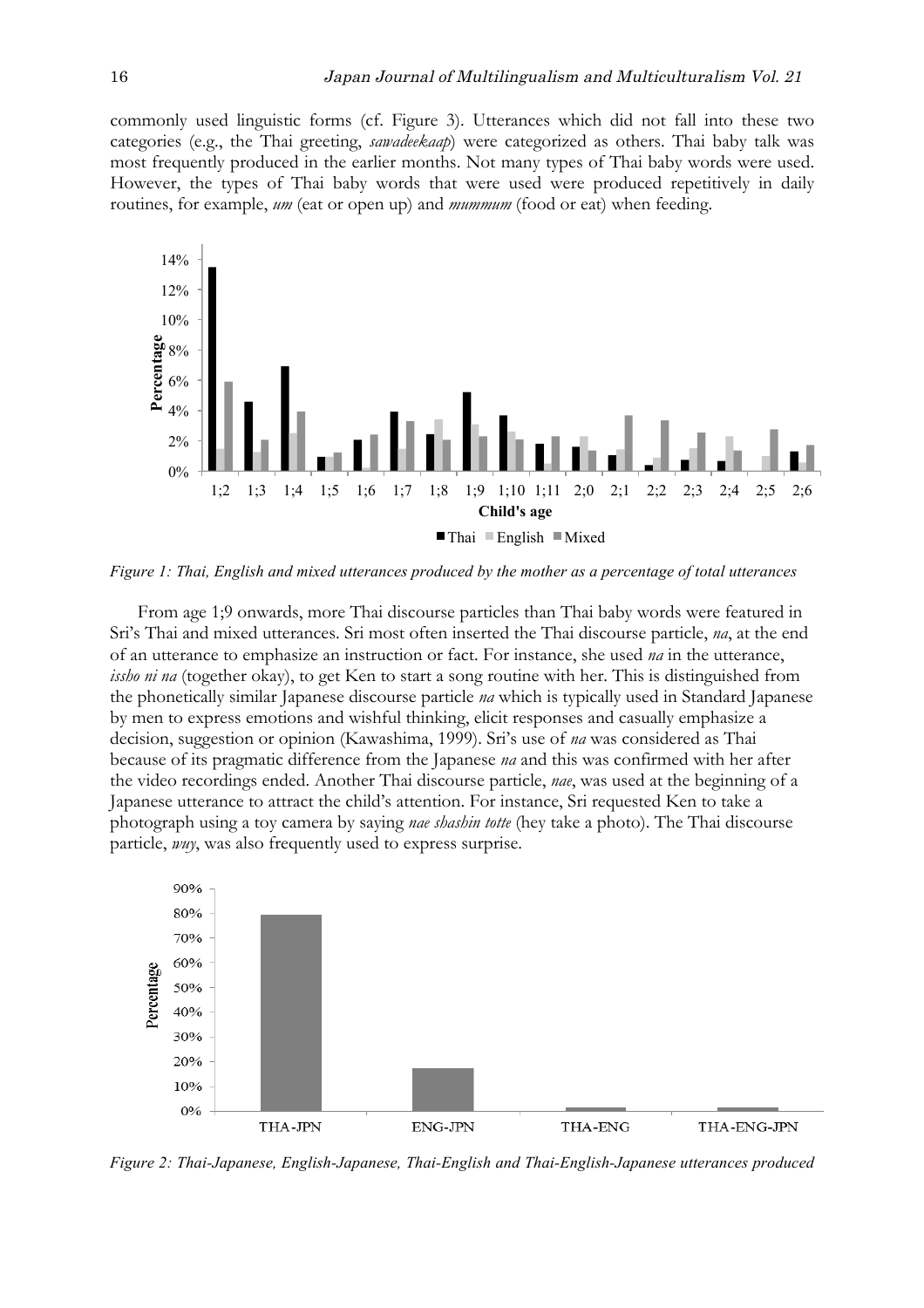commonly used linguistic forms (cf. Figure 3). Utterances which did not fall into these two categories (e.g., the Thai greeting, *sawadeekaap*) were categorized as others. Thai baby talk was most frequently produced in the earlier months. Not many types of Thai baby words were used. However, the types of Thai baby words that were used were produced repetitively in daily routines, for example, *um* (eat or open up) and *mummum* (food or eat) when feeding.



*Figure 1: Thai, English and mixed utterances produced by the mother as a percentage of total utterances*

From age 1;9 onwards, more Thai discourse particles than Thai baby words were featured in Sri's Thai and mixed utterances. Sri most often inserted the Thai discourse particle, *na*, at the end of an utterance to emphasize an instruction or fact. For instance, she used *na* in the utterance, *issho ni na* (together okay), to get Ken to start a song routine with her. This is distinguished from the phonetically similar Japanese discourse particle *na* which is typically used in Standard Japanese by men to express emotions and wishful thinking, elicit responses and casually emphasize a decision, suggestion or opinion (Kawashima, 1999). Sri's use of *na* was considered as Thai because of its pragmatic difference from the Japanese *na* and this was confirmed with her after the video recordings ended. Another Thai discourse particle, *nae*, was used at the beginning of a Japanese utterance to attract the child's attention. For instance, Sri requested Ken to take a photograph using a toy camera by saying *nae shashin totte* (hey take a photo). The Thai discourse particle, *wuy*, was also frequently used to express surprise.



*Figure 2: Thai-Japanese, English-Japanese, Thai-English and Thai-English-Japanese utterances produced*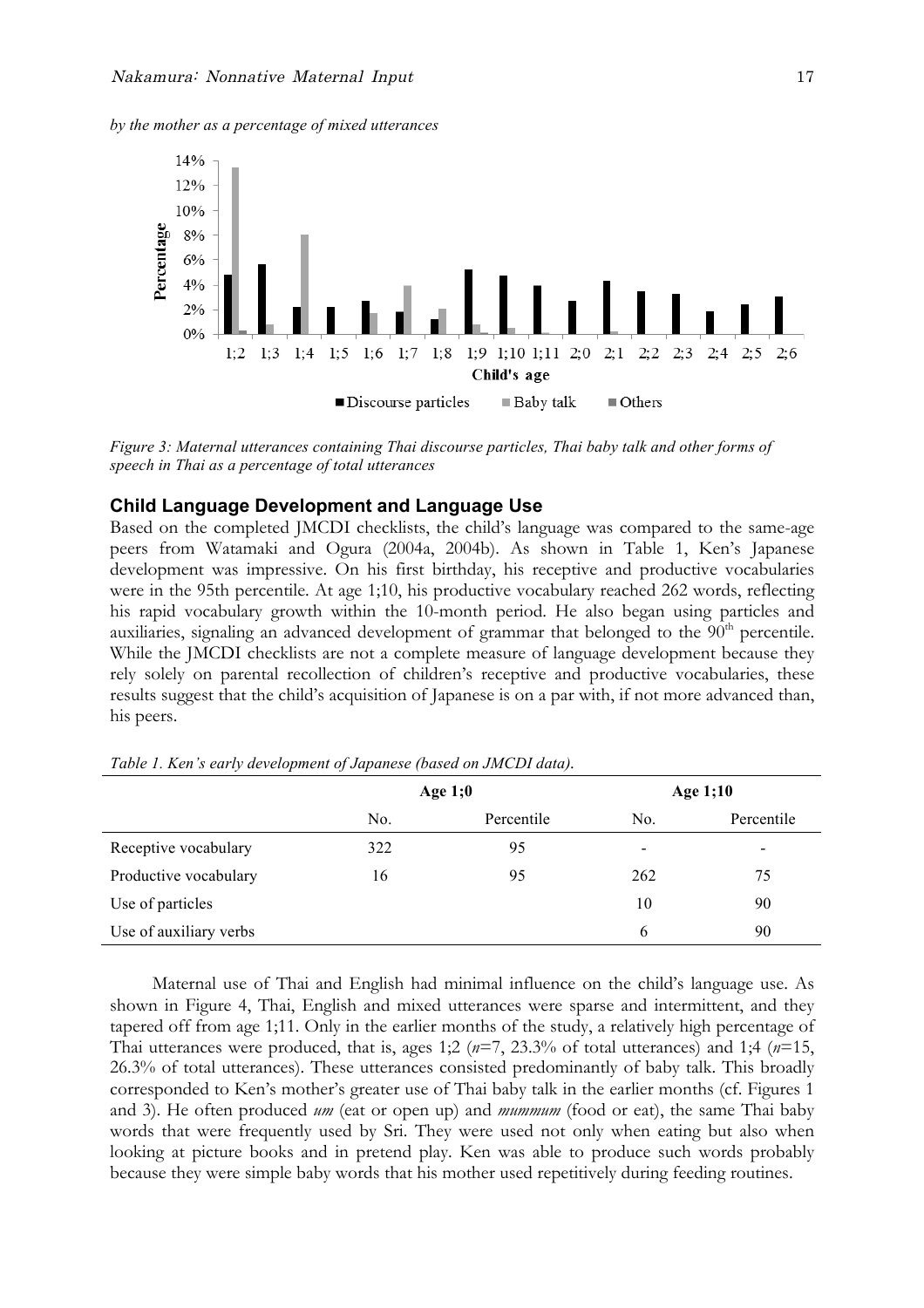*by the mother as a percentage of mixed utterances*



*Figure 3: Maternal utterances containing Thai discourse particles, Thai baby talk and other forms of speech in Thai as a percentage of total utterances*

#### **Child Language Development and Language Use**

Based on the completed JMCDI checklists, the child's language was compared to the same-age peers from Watamaki and Ogura (2004a, 2004b). As shown in Table 1, Ken's Japanese development was impressive. On his first birthday, his receptive and productive vocabularies were in the 95th percentile. At age 1;10, his productive vocabulary reached 262 words, reflecting his rapid vocabulary growth within the 10-month period. He also began using particles and auxiliaries, signaling an advanced development of grammar that belonged to the 90<sup>th</sup> percentile. While the JMCDI checklists are not a complete measure of language development because they rely solely on parental recollection of children's receptive and productive vocabularies, these results suggest that the child's acquisition of Japanese is on a par with, if not more advanced than, his peers.

|                        |     | Age $1;0$  | Age 1;10       |                          |  |
|------------------------|-----|------------|----------------|--------------------------|--|
|                        | No. | Percentile | N <sub>0</sub> | Percentile               |  |
| Receptive vocabulary   | 322 | 95         | -              | $\overline{\phantom{a}}$ |  |
| Productive vocabulary  | 16  | 95         | 262            | 75                       |  |
| Use of particles       |     |            | 10             | 90                       |  |
| Use of auxiliary verbs |     |            | 6              | 90                       |  |

*Table 1. Ken's early development of Japanese (based on JMCDI data).*

Maternal use of Thai and English had minimal influence on the child's language use. As shown in Figure 4, Thai, English and mixed utterances were sparse and intermittent, and they tapered off from age 1;11. Only in the earlier months of the study, a relatively high percentage of Thai utterances were produced, that is, ages 1;2 (*n*=7, 23.3% of total utterances) and 1;4 (*n*=15, 26.3% of total utterances). These utterances consisted predominantly of baby talk. This broadly corresponded to Ken's mother's greater use of Thai baby talk in the earlier months (cf. Figures 1 and 3). He often produced *um* (eat or open up) and *mummum* (food or eat), the same Thai baby words that were frequently used by Sri. They were used not only when eating but also when looking at picture books and in pretend play. Ken was able to produce such words probably because they were simple baby words that his mother used repetitively during feeding routines.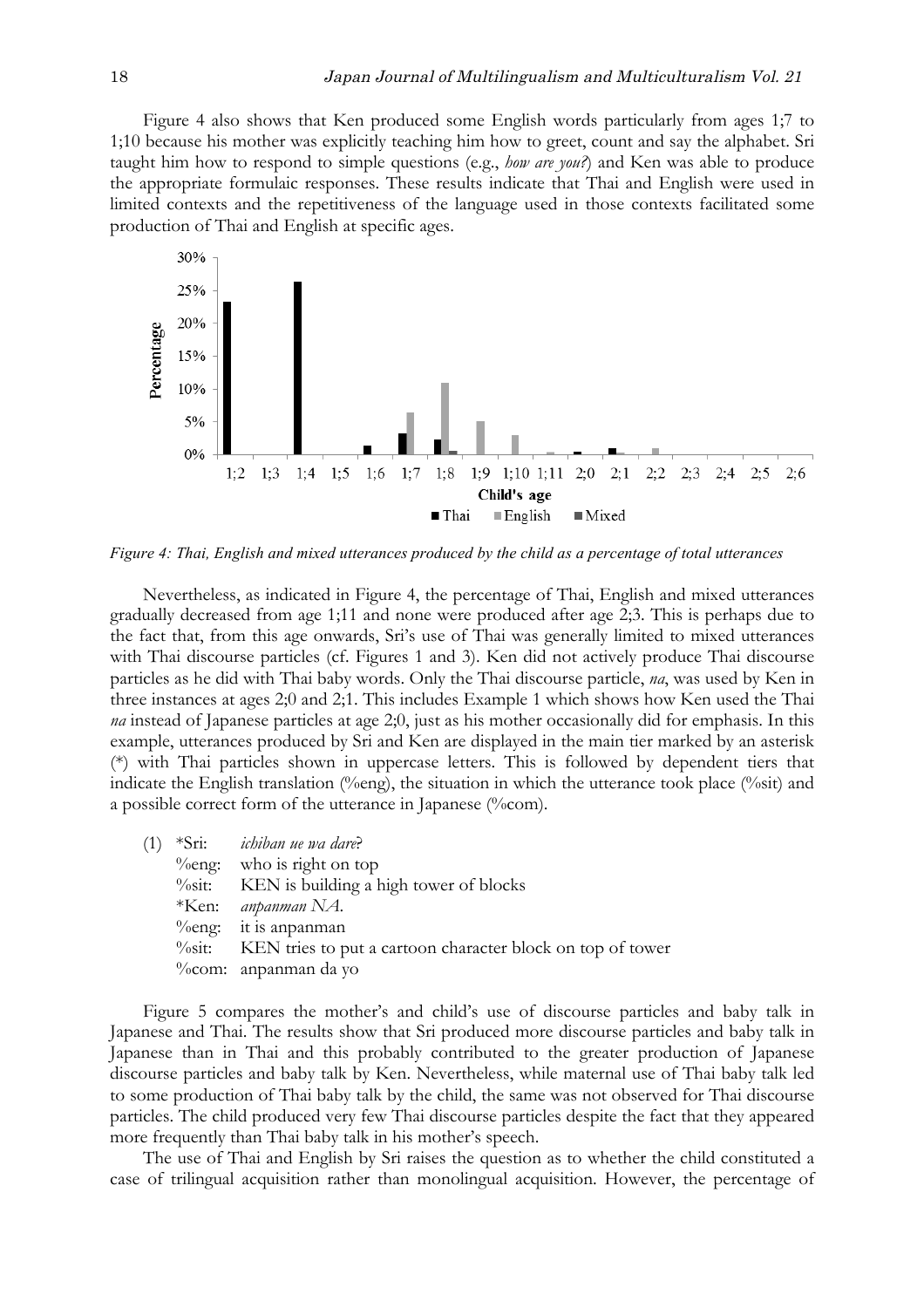Figure 4 also shows that Ken produced some English words particularly from ages 1;7 to 1;10 because his mother was explicitly teaching him how to greet, count and say the alphabet. Sri taught him how to respond to simple questions (e.g., *how are you?*) and Ken was able to produce the appropriate formulaic responses. These results indicate that Thai and English were used in limited contexts and the repetitiveness of the language used in those contexts facilitated some production of Thai and English at specific ages.



*Figure 4: Thai, English and mixed utterances produced by the child as a percentage of total utterances*

Nevertheless, as indicated in Figure 4, the percentage of Thai, English and mixed utterances gradually decreased from age 1;11 and none were produced after age 2;3. This is perhaps due to the fact that, from this age onwards, Sri's use of Thai was generally limited to mixed utterances with Thai discourse particles (cf. Figures 1 and 3). Ken did not actively produce Thai discourse particles as he did with Thai baby words. Only the Thai discourse particle, *na*, was used by Ken in three instances at ages 2;0 and 2;1. This includes Example 1 which shows how Ken used the Thai *na* instead of Japanese particles at age 2;0, just as his mother occasionally did for emphasis. In this example, utterances produced by Sri and Ken are displayed in the main tier marked by an asterisk (\*) with Thai particles shown in uppercase letters. This is followed by dependent tiers that indicate the English translation (%eng), the situation in which the utterance took place (%sit) and a possible correct form of the utterance in Japanese (%com).

| (1) | *Sri: <i>ichiban ue wa dare?</i>                                              |
|-----|-------------------------------------------------------------------------------|
|     | $\%$ eng: who is right on top                                                 |
|     | <sup>0</sup> /osit: KEN is building a high tower of blocks                    |
|     | $*$ Ken: <i>anpanman</i> NA.                                                  |
|     | $\%$ eng: it is anpanman                                                      |
|     | <sup>%</sup> %sit: KEN tries to put a cartoon character block on top of tower |
|     | %com: anpanman da yo                                                          |

Figure 5 compares the mother's and child's use of discourse particles and baby talk in Japanese and Thai. The results show that Sri produced more discourse particles and baby talk in Japanese than in Thai and this probably contributed to the greater production of Japanese discourse particles and baby talk by Ken. Nevertheless, while maternal use of Thai baby talk led to some production of Thai baby talk by the child, the same was not observed for Thai discourse particles. The child produced very few Thai discourse particles despite the fact that they appeared more frequently than Thai baby talk in his mother's speech.

The use of Thai and English by Sri raises the question as to whether the child constituted a case of trilingual acquisition rather than monolingual acquisition. However, the percentage of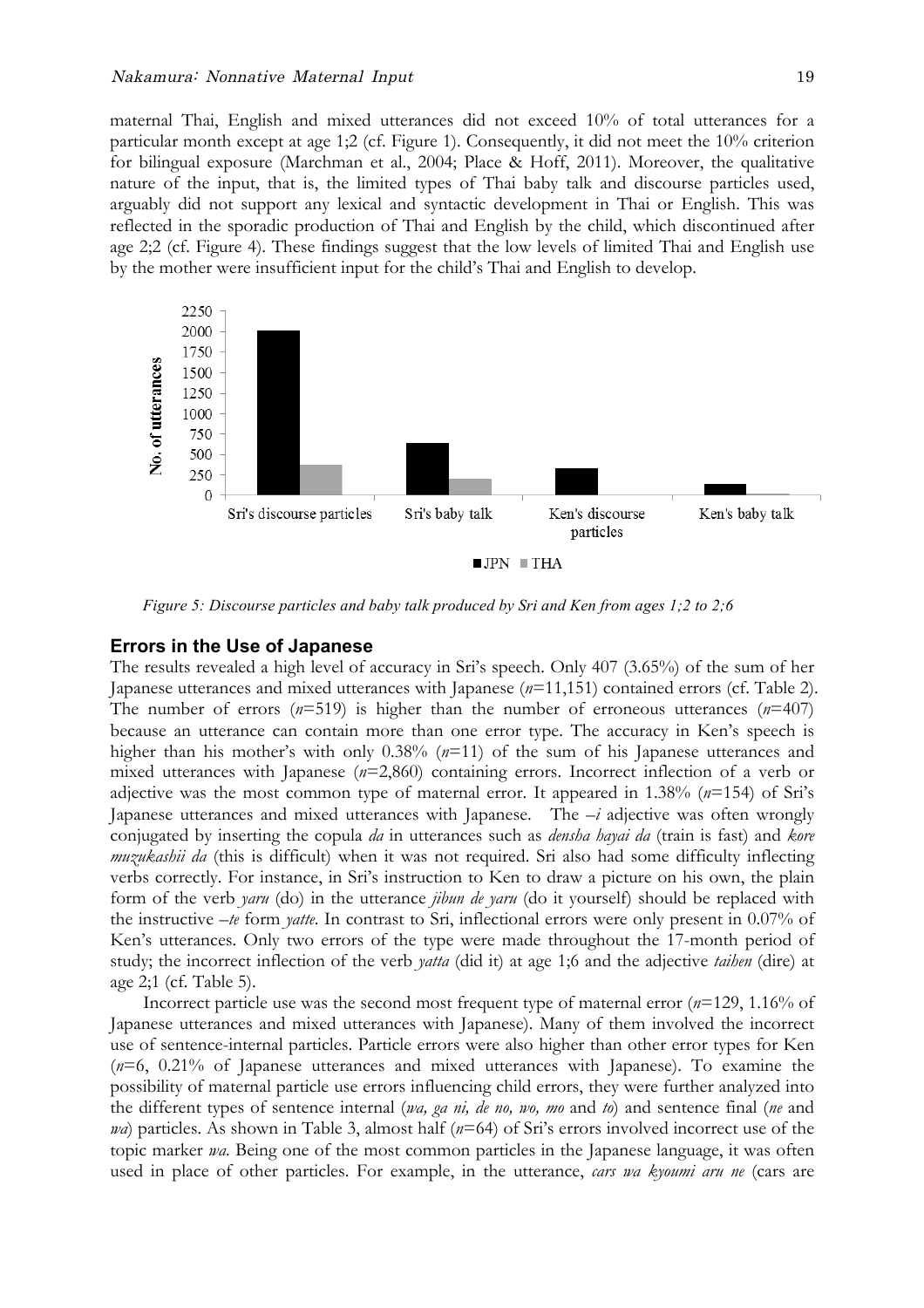maternal Thai, English and mixed utterances did not exceed 10% of total utterances for a particular month except at age 1;2 (cf. Figure 1). Consequently, it did not meet the 10% criterion for bilingual exposure (Marchman et al., 2004; Place & Hoff, 2011). Moreover, the qualitative nature of the input, that is, the limited types of Thai baby talk and discourse particles used, arguably did not support any lexical and syntactic development in Thai or English. This was reflected in the sporadic production of Thai and English by the child, which discontinued after age 2;2 (cf. Figure 4). These findings suggest that the low levels of limited Thai and English use by the mother were insufficient input for the child's Thai and English to develop.



*Figure 5: Discourse particles and baby talk produced by Sri and Ken from ages 1;2 to 2;6*

#### **Errors in the Use of Japanese**

The results revealed a high level of accuracy in Sri's speech. Only 407 (3.65%) of the sum of her Japanese utterances and mixed utterances with Japanese (*n*=11,151) contained errors (cf. Table 2). The number of errors (*n*=519) is higher than the number of erroneous utterances (*n*=407) because an utterance can contain more than one error type. The accuracy in Ken's speech is higher than his mother's with only 0.38% ( $n=11$ ) of the sum of his Japanese utterances and mixed utterances with Japanese (*n*=2,860) containing errors. Incorrect inflection of a verb or adjective was the most common type of maternal error. It appeared in 1.38% (*n*=154) of Sri's Japanese utterances and mixed utterances with Japanese. The *–i* adjective was often wrongly conjugated by inserting the copula *da* in utterances such as *densha hayai da* (train is fast) and *kore muzukashii da* (this is difficult) when it was not required. Sri also had some difficulty inflecting verbs correctly. For instance, in Sri's instruction to Ken to draw a picture on his own, the plain form of the verb *yaru* (do) in the utterance *jibun de yaru* (do it yourself) should be replaced with the instructive *–te* form *yatte*. In contrast to Sri, inflectional errors were only present in 0.07% of Ken's utterances. Only two errors of the type were made throughout the 17-month period of study; the incorrect inflection of the verb *yatta* (did it) at age 1;6 and the adjective *taihen* (dire) at age 2;1 (cf. Table 5).

Incorrect particle use was the second most frequent type of maternal error (*n*=129, 1.16% of Japanese utterances and mixed utterances with Japanese). Many of them involved the incorrect use of sentence-internal particles. Particle errors were also higher than other error types for Ken (*n*=6, 0.21% of Japanese utterances and mixed utterances with Japanese). To examine the possibility of maternal particle use errors influencing child errors, they were further analyzed into the different types of sentence internal (*wa, ga ni, de no, wo, mo* and *to*) and sentence final (*ne* and *wa*) particles. As shown in Table 3, almost half (*n*=64) of Sri's errors involved incorrect use of the topic marker *wa*. Being one of the most common particles in the Japanese language, it was often used in place of other particles. For example, in the utterance, *cars wa kyoumi aru ne* (cars are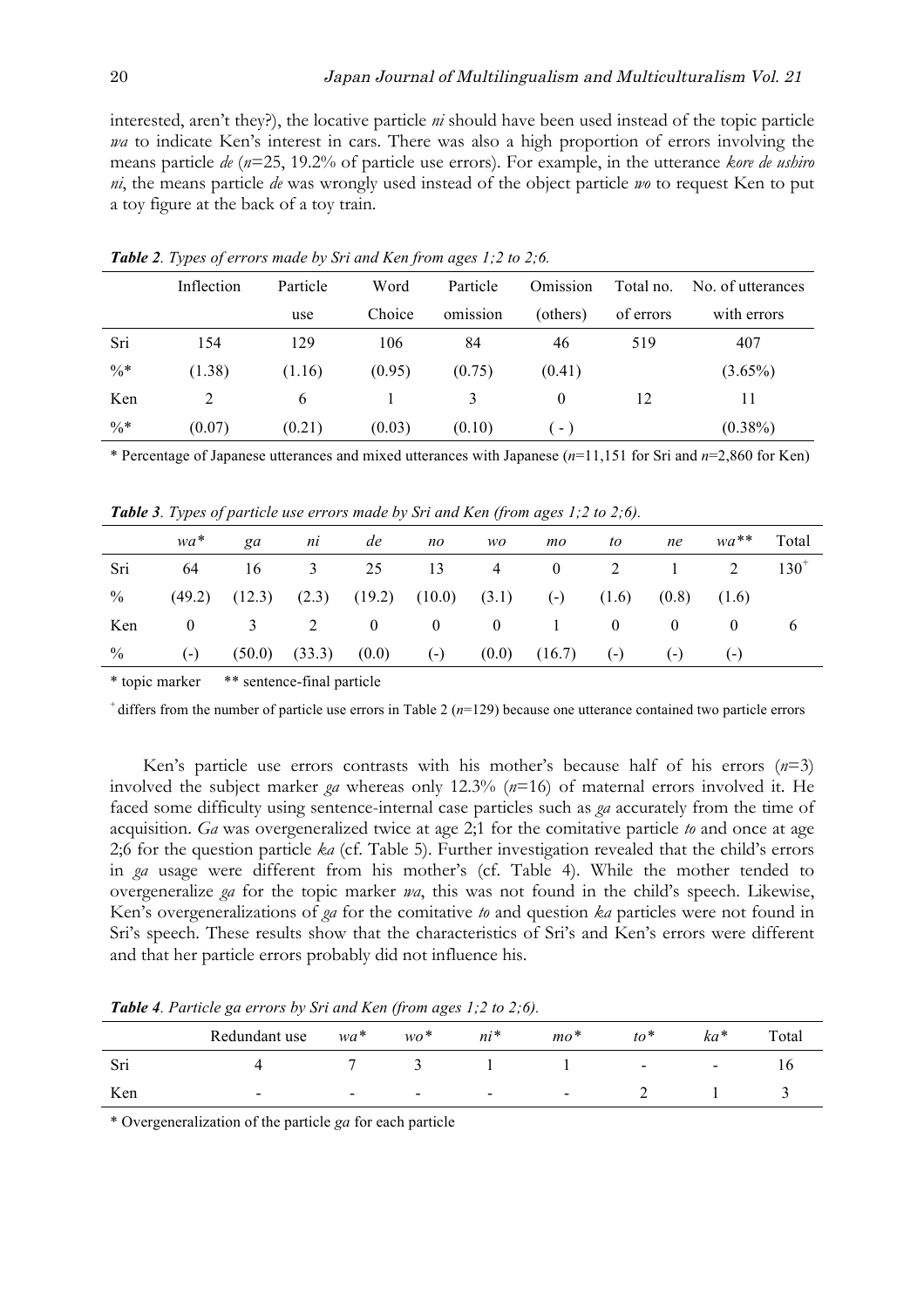interested, aren't they?), the locative particle *ni* should have been used instead of the topic particle *wa* to indicate Ken's interest in cars. There was also a high proportion of errors involving the means particle *de* (*n*=25, 19.2% of particle use errors). For example, in the utterance *kore de ushiro ni*, the means particle *de* was wrongly used instead of the object particle *wo* to request Ken to put a toy figure at the back of a toy train.

|        | Inflection | Particle | Word   | Particle | Omission | Total no. | No. of utterances |  |
|--------|------------|----------|--------|----------|----------|-----------|-------------------|--|
|        |            | use      | Choice | omission | (others) | of errors | with errors       |  |
| Sri    | 154        | 129      | 106    | 84       | 46       | 519       | 407               |  |
| $\% *$ | (1.38)     | (1.16)   | (0.95) | (0.75)   | (0.41)   |           | $(3.65\%)$        |  |
| Ken    | 2          | 6        |        | 3        | $\theta$ | 12        | 11                |  |
| $\% *$ | (0.07)     | (0.21)   | (0.03) | (0.10)   | ( – )    |           | $(0.38\%)$        |  |

*Table 2. Types of errors made by Sri and Ken from ages 1;2 to 2;6.*

\* Percentage of Japanese utterances and mixed utterances with Japanese (*n*=11,151 for Sri and *n*=2,860 for Ken)

*Table 3. Types of particle use errors made by Sri and Ken (from ages 1;2 to 2;6).*

|      | wa*          | ga | ni | de | $n_{O}$ | WO. | mo                                                                                            | to to                   | ne              |       | wa <sup>**</sup> Total |
|------|--------------|----|----|----|---------|-----|-----------------------------------------------------------------------------------------------|-------------------------|-----------------|-------|------------------------|
| Sri  | 64           |    |    |    |         |     | $16 \qquad 3 \qquad 25 \qquad 13 \qquad 4 \qquad 0 \qquad 2 \qquad 1 \qquad 2 \qquad 130^{+}$ |                         |                 |       |                        |
| $\%$ |              |    |    |    |         |     | $(49.2)$ $(12.3)$ $(2.3)$ $(19.2)$ $(10.0)$ $(3.1)$ $(-)$ $(1.6)$                             |                         | $(0.8)$ $(1.6)$ |       |                        |
| Ken  | $\mathbf{0}$ |    |    |    | 3 2 0 0 |     | $\begin{array}{ccc} 0 & 1 \end{array}$                                                        | $\overline{\mathbf{0}}$ | $\sim 0$        |       | $\sigma$               |
| $\%$ | $(-)$        |    |    |    |         |     | $(50.0)$ $(33.3)$ $(0.0)$ $(-)$ $(0.0)$ $(16.7)$ $(-)$                                        |                         | $(-)$           | $(-)$ |                        |

\* topic marker \*\* sentence-final particle

+ differs from the number of particle use errors in Table 2 (*n*=129) because one utterance contained two particle errors

Ken's particle use errors contrasts with his mother's because half of his errors (*n*=3) involved the subject marker *ga* whereas only 12.3% (*n*=16) of maternal errors involved it. He faced some difficulty using sentence-internal case particles such as *ga* accurately from the time of acquisition. *Ga* was overgeneralized twice at age 2;1 for the comitative particle *to* and once at age 2;6 for the question particle *ka* (cf. Table 5). Further investigation revealed that the child's errors in *ga* usage were different from his mother's (cf. Table 4). While the mother tended to overgeneralize *ga* for the topic marker *wa*, this was not found in the child's speech. Likewise, Ken's overgeneralizations of *ga* for the comitative *to* and question *ka* particles were not found in Sri's speech. These results show that the characteristics of Sri's and Ken's errors were different and that her particle errors probably did not influence his.

*Table 4. Particle ga errors by Sri and Ken (from ages 1;2 to 2;6).*

|     | Redundant use            | $wa^*$                   | $wo^*$                   | ni*                      | $mo^*$         | $\mathfrak{t}$ $\circ$   | $ka*$                    | Total |
|-----|--------------------------|--------------------------|--------------------------|--------------------------|----------------|--------------------------|--------------------------|-------|
| Sri |                          |                          |                          |                          |                | $\overline{\phantom{a}}$ | $\overline{\phantom{0}}$ |       |
| Ken | $\overline{\phantom{0}}$ | $\overline{\phantom{0}}$ | $\overline{\phantom{0}}$ | $\overline{\phantom{0}}$ | $\blacksquare$ |                          |                          |       |

\* Overgeneralization of the particle *ga* for each particle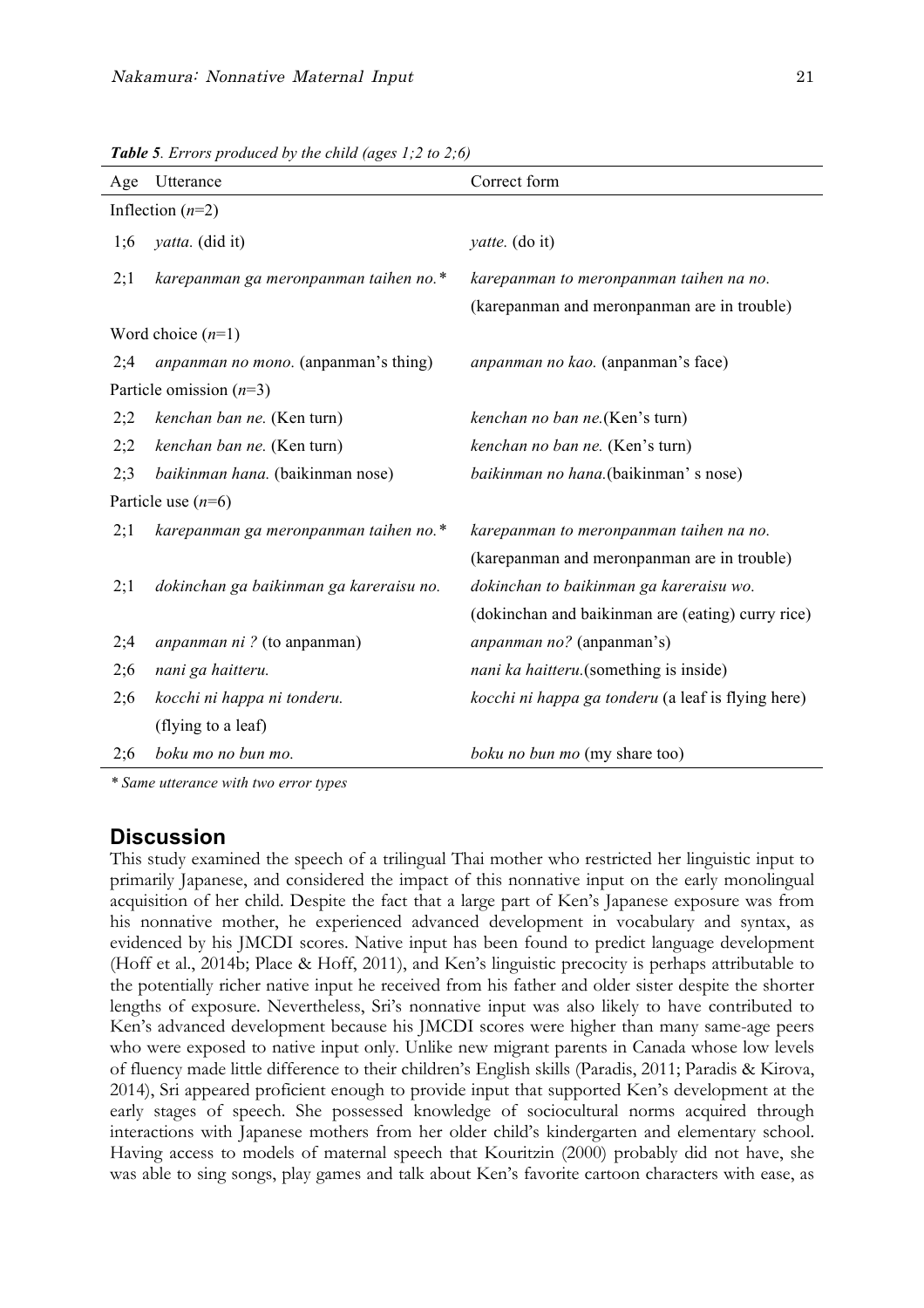| Age | Utterance                                   | Correct form                                       |  |  |  |  |  |  |
|-----|---------------------------------------------|----------------------------------------------------|--|--|--|--|--|--|
|     | Inflection $(n=2)$                          |                                                    |  |  |  |  |  |  |
| 1;6 | <i>yatta.</i> (did it)                      | <i>yatte.</i> (do it)                              |  |  |  |  |  |  |
| 2;1 | karepanman ga meronpanman taihen no.*       | karepanman to meronpanman taihen na no.            |  |  |  |  |  |  |
|     |                                             | (karepanman and meronpanman are in trouble)        |  |  |  |  |  |  |
|     | Word choice $(n=1)$                         |                                                    |  |  |  |  |  |  |
| 2;4 | <i>anpanman no mono.</i> (anpanman's thing) | anpanman no kao. (anpanman's face)                 |  |  |  |  |  |  |
|     | Particle omission $(n=3)$                   |                                                    |  |  |  |  |  |  |
| 2;2 | kenchan ban ne. (Ken turn)                  | kenchan no ban ne. (Ken's turn)                    |  |  |  |  |  |  |
| 2;2 | kenchan ban ne. (Ken turn)                  | kenchan no ban ne. (Ken's turn)                    |  |  |  |  |  |  |
| 2:3 | baikinman hana. (baikinman nose)            | baikinman no hana.(baikinman's nose)               |  |  |  |  |  |  |
|     | Particle use $(n=6)$                        |                                                    |  |  |  |  |  |  |
| 2;1 | karepanman ga meronpanman taihen no.*       | karepanman to meronpanman taihen na no.            |  |  |  |  |  |  |
|     |                                             | (karepanman and meronpanman are in trouble)        |  |  |  |  |  |  |
| 2;1 | dokinchan ga baikinman ga kareraisu no.     | dokinchan to baikinman ga kareraisu wo.            |  |  |  |  |  |  |
|     |                                             | (dokinchan and baikinman are (eating) curry rice)  |  |  |  |  |  |  |
| 2;4 | anpanman ni ? (to anpanman)                 | anpanman no? (anpanman's)                          |  |  |  |  |  |  |
| 2;6 | nani ga haitteru.                           | nani ka haitteru.(something is inside)             |  |  |  |  |  |  |
| 2;6 | kocchi ni happa ni tonderu.                 | kocchi ni happa ga tonderu (a leaf is flying here) |  |  |  |  |  |  |
|     | (flying to a leaf)                          |                                                    |  |  |  |  |  |  |
| 2;6 | boku mo no bun mo.                          | boku no bun mo (my share too)                      |  |  |  |  |  |  |
|     |                                             |                                                    |  |  |  |  |  |  |

*Table 5. Errors produced by the child (ages 1;2 to 2;6)*

*\* Same utterance with two error types*

## **Discussion**

This study examined the speech of a trilingual Thai mother who restricted her linguistic input to primarily Japanese, and considered the impact of this nonnative input on the early monolingual acquisition of her child. Despite the fact that a large part of Ken's Japanese exposure was from his nonnative mother, he experienced advanced development in vocabulary and syntax, as evidenced by his JMCDI scores. Native input has been found to predict language development (Hoff et al., 2014b; Place & Hoff, 2011), and Ken's linguistic precocity is perhaps attributable to the potentially richer native input he received from his father and older sister despite the shorter lengths of exposure. Nevertheless, Sri's nonnative input was also likely to have contributed to Ken's advanced development because his JMCDI scores were higher than many same-age peers who were exposed to native input only. Unlike new migrant parents in Canada whose low levels of fluency made little difference to their children's English skills (Paradis, 2011; Paradis & Kirova, 2014), Sri appeared proficient enough to provide input that supported Ken's development at the early stages of speech. She possessed knowledge of sociocultural norms acquired through interactions with Japanese mothers from her older child's kindergarten and elementary school. Having access to models of maternal speech that Kouritzin (2000) probably did not have, she was able to sing songs, play games and talk about Ken's favorite cartoon characters with ease, as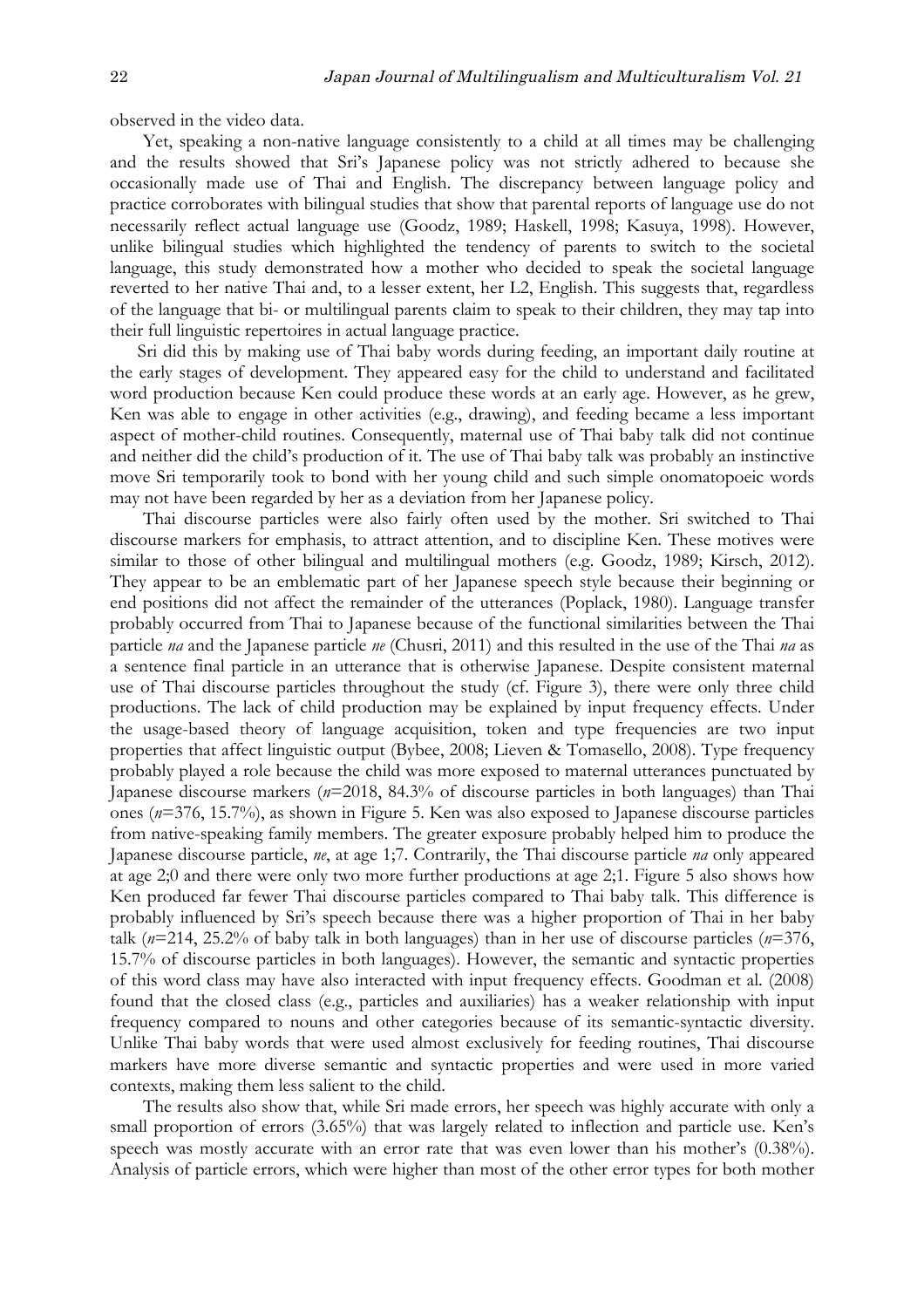observed in the video data.

Yet, speaking a non-native language consistently to a child at all times may be challenging and the results showed that Sri's Japanese policy was not strictly adhered to because she occasionally made use of Thai and English. The discrepancy between language policy and practice corroborates with bilingual studies that show that parental reports of language use do not necessarily reflect actual language use (Goodz, 1989; Haskell, 1998; Kasuya, 1998). However, unlike bilingual studies which highlighted the tendency of parents to switch to the societal language, this study demonstrated how a mother who decided to speak the societal language reverted to her native Thai and, to a lesser extent, her L2, English. This suggests that, regardless of the language that bi- or multilingual parents claim to speak to their children, they may tap into their full linguistic repertoires in actual language practice.

Sri did this by making use of Thai baby words during feeding, an important daily routine at the early stages of development. They appeared easy for the child to understand and facilitated word production because Ken could produce these words at an early age. However, as he grew, Ken was able to engage in other activities (e.g., drawing), and feeding became a less important aspect of mother-child routines. Consequently, maternal use of Thai baby talk did not continue and neither did the child's production of it. The use of Thai baby talk was probably an instinctive move Sri temporarily took to bond with her young child and such simple onomatopoeic words may not have been regarded by her as a deviation from her Japanese policy.

Thai discourse particles were also fairly often used by the mother. Sri switched to Thai discourse markers for emphasis, to attract attention, and to discipline Ken. These motives were similar to those of other bilingual and multilingual mothers (e.g. Goodz, 1989; Kirsch, 2012). They appear to be an emblematic part of her Japanese speech style because their beginning or end positions did not affect the remainder of the utterances (Poplack, 1980). Language transfer probably occurred from Thai to Japanese because of the functional similarities between the Thai particle *na* and the Japanese particle *ne* (Chusri, 2011) and this resulted in the use of the Thai *na* as a sentence final particle in an utterance that is otherwise Japanese. Despite consistent maternal use of Thai discourse particles throughout the study (cf. Figure 3), there were only three child productions. The lack of child production may be explained by input frequency effects. Under the usage-based theory of language acquisition, token and type frequencies are two input properties that affect linguistic output (Bybee, 2008; Lieven & Tomasello, 2008). Type frequency probably played a role because the child was more exposed to maternal utterances punctuated by Japanese discourse markers (*n*=2018, 84.3% of discourse particles in both languages) than Thai ones (*n*=376, 15.7%), as shown in Figure 5. Ken was also exposed to Japanese discourse particles from native-speaking family members. The greater exposure probably helped him to produce the Japanese discourse particle, *ne*, at age 1;7. Contrarily, the Thai discourse particle *na* only appeared at age 2;0 and there were only two more further productions at age 2;1. Figure 5 also shows how Ken produced far fewer Thai discourse particles compared to Thai baby talk. This difference is probably influenced by Sri's speech because there was a higher proportion of Thai in her baby talk (*n*=214, 25.2% of baby talk in both languages) than in her use of discourse particles (*n*=376, 15.7% of discourse particles in both languages). However, the semantic and syntactic properties of this word class may have also interacted with input frequency effects. Goodman et al. (2008) found that the closed class (e.g., particles and auxiliaries) has a weaker relationship with input frequency compared to nouns and other categories because of its semantic-syntactic diversity. Unlike Thai baby words that were used almost exclusively for feeding routines, Thai discourse markers have more diverse semantic and syntactic properties and were used in more varied contexts, making them less salient to the child.

The results also show that, while Sri made errors, her speech was highly accurate with only a small proportion of errors (3.65%) that was largely related to inflection and particle use. Ken's speech was mostly accurate with an error rate that was even lower than his mother's (0.38%). Analysis of particle errors, which were higher than most of the other error types for both mother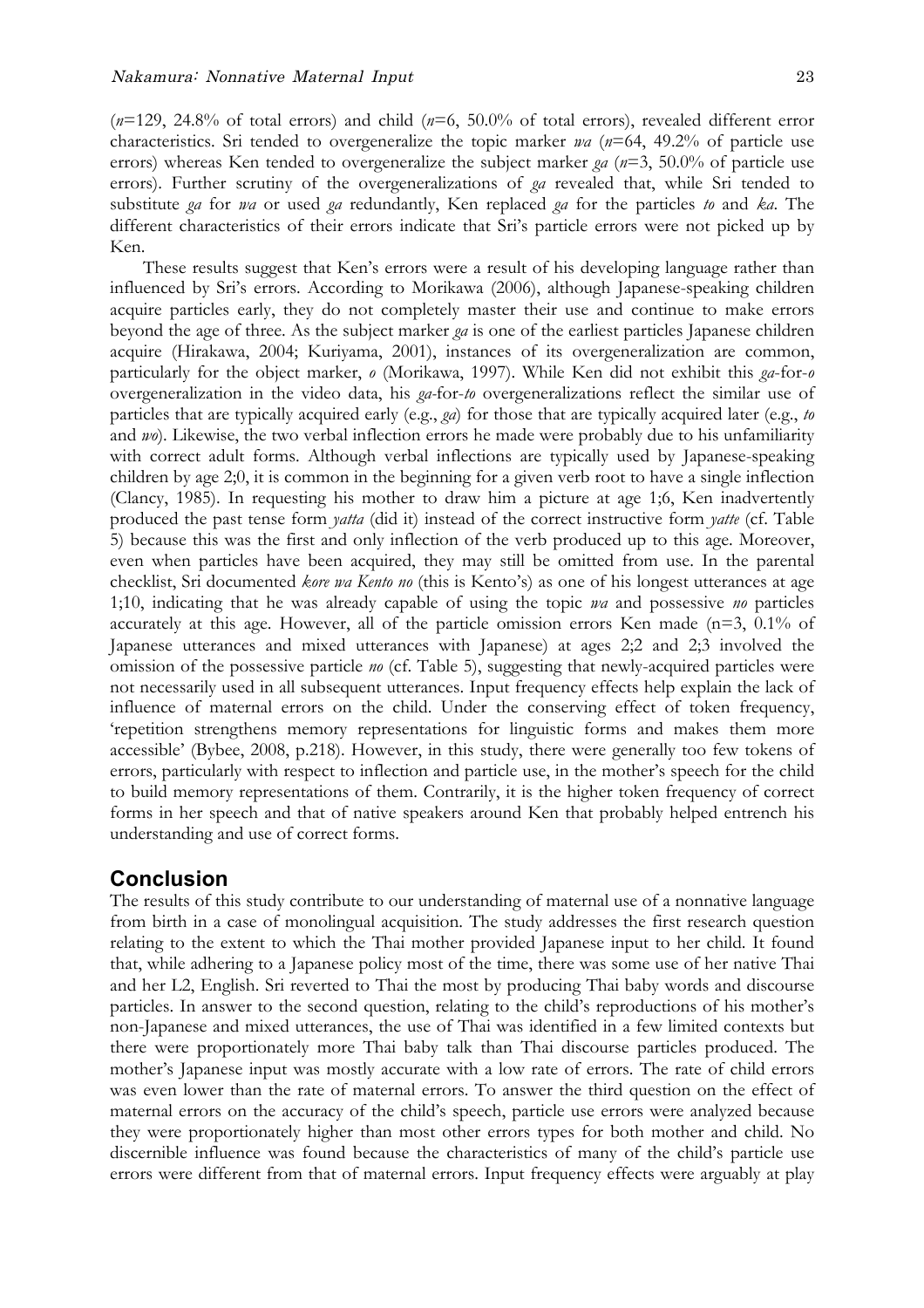(*n*=129, 24.8% of total errors) and child (*n*=6, 50.0% of total errors), revealed different error characteristics. Sri tended to overgeneralize the topic marker *wa* (*n*=64, 49.2% of particle use errors) whereas Ken tended to overgeneralize the subject marker *ga* (*n*=3, 50.0% of particle use errors). Further scrutiny of the overgeneralizations of *ga* revealed that, while Sri tended to substitute *ga* for *wa* or used *ga* redundantly, Ken replaced *ga* for the particles *to* and *ka*. The different characteristics of their errors indicate that Sri's particle errors were not picked up by Ken.

These results suggest that Ken's errors were a result of his developing language rather than influenced by Sri's errors. According to Morikawa (2006), although Japanese-speaking children acquire particles early, they do not completely master their use and continue to make errors beyond the age of three. As the subject marker *ga* is one of the earliest particles Japanese children acquire (Hirakawa, 2004; Kuriyama, 2001), instances of its overgeneralization are common, particularly for the object marker, *o* (Morikawa, 1997). While Ken did not exhibit this *ga*-for-*o* overgeneralization in the video data, his *ga-*for-*to* overgeneralizations reflect the similar use of particles that are typically acquired early (e.g., *ga*) for those that are typically acquired later (e.g., *to*  and *wo*). Likewise, the two verbal inflection errors he made were probably due to his unfamiliarity with correct adult forms. Although verbal inflections are typically used by Japanese-speaking children by age 2;0, it is common in the beginning for a given verb root to have a single inflection (Clancy, 1985). In requesting his mother to draw him a picture at age 1;6, Ken inadvertently produced the past tense form *yatta* (did it) instead of the correct instructive form *yatte* (cf. Table 5) because this was the first and only inflection of the verb produced up to this age. Moreover, even when particles have been acquired, they may still be omitted from use. In the parental checklist, Sri documented *kore wa Kento no* (this is Kento's) as one of his longest utterances at age 1;10, indicating that he was already capable of using the topic *wa* and possessive *no* particles accurately at this age. However, all of the particle omission errors Ken made (n=3, 0.1% of Japanese utterances and mixed utterances with Japanese) at ages 2;2 and 2;3 involved the omission of the possessive particle *no* (cf. Table 5), suggesting that newly-acquired particles were not necessarily used in all subsequent utterances. Input frequency effects help explain the lack of influence of maternal errors on the child. Under the conserving effect of token frequency, 'repetition strengthens memory representations for linguistic forms and makes them more accessible' (Bybee, 2008, p.218). However, in this study, there were generally too few tokens of errors, particularly with respect to inflection and particle use, in the mother's speech for the child to build memory representations of them. Contrarily, it is the higher token frequency of correct forms in her speech and that of native speakers around Ken that probably helped entrench his understanding and use of correct forms.

### **Conclusion**

The results of this study contribute to our understanding of maternal use of a nonnative language from birth in a case of monolingual acquisition. The study addresses the first research question relating to the extent to which the Thai mother provided Japanese input to her child. It found that, while adhering to a Japanese policy most of the time, there was some use of her native Thai and her L2, English. Sri reverted to Thai the most by producing Thai baby words and discourse particles. In answer to the second question, relating to the child's reproductions of his mother's non-Japanese and mixed utterances, the use of Thai was identified in a few limited contexts but there were proportionately more Thai baby talk than Thai discourse particles produced. The mother's Japanese input was mostly accurate with a low rate of errors. The rate of child errors was even lower than the rate of maternal errors. To answer the third question on the effect of maternal errors on the accuracy of the child's speech, particle use errors were analyzed because they were proportionately higher than most other errors types for both mother and child. No discernible influence was found because the characteristics of many of the child's particle use errors were different from that of maternal errors. Input frequency effects were arguably at play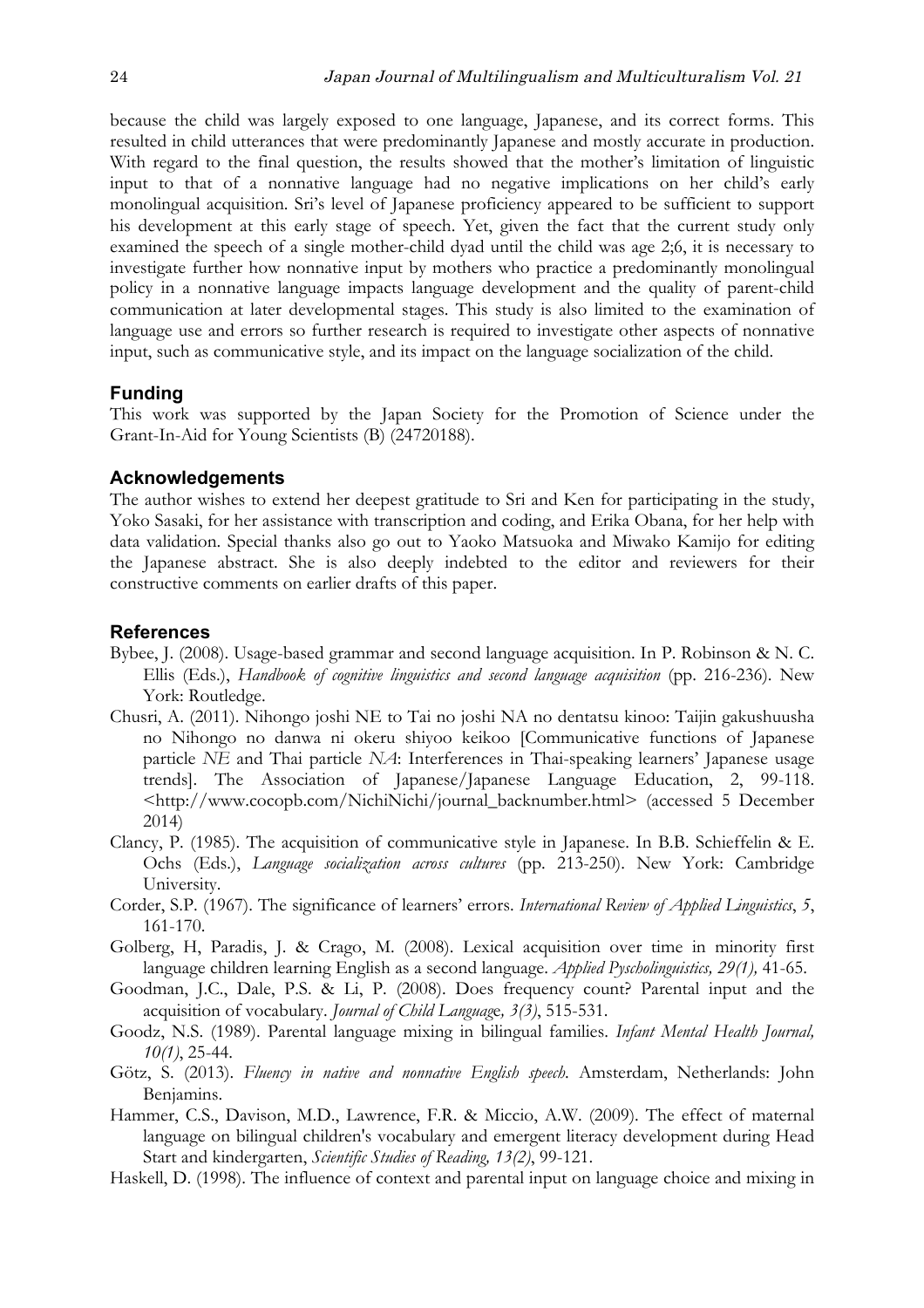because the child was largely exposed to one language, Japanese, and its correct forms. This resulted in child utterances that were predominantly Japanese and mostly accurate in production. With regard to the final question, the results showed that the mother's limitation of linguistic input to that of a nonnative language had no negative implications on her child's early monolingual acquisition. Sri's level of Japanese proficiency appeared to be sufficient to support his development at this early stage of speech. Yet, given the fact that the current study only examined the speech of a single mother-child dyad until the child was age 2;6, it is necessary to investigate further how nonnative input by mothers who practice a predominantly monolingual policy in a nonnative language impacts language development and the quality of parent-child communication at later developmental stages. This study is also limited to the examination of language use and errors so further research is required to investigate other aspects of nonnative input, such as communicative style, and its impact on the language socialization of the child.

#### **Funding**

This work was supported by the Japan Society for the Promotion of Science under the Grant-In-Aid for Young Scientists (B) (24720188).

#### **Acknowledgements**

The author wishes to extend her deepest gratitude to Sri and Ken for participating in the study, Yoko Sasaki, for her assistance with transcription and coding, and Erika Obana, for her help with data validation. Special thanks also go out to Yaoko Matsuoka and Miwako Kamijo for editing the Japanese abstract. She is also deeply indebted to the editor and reviewers for their constructive comments on earlier drafts of this paper.

#### **References**

- Bybee, J. (2008). Usage-based grammar and second language acquisition. In P. Robinson & N. C. Ellis (Eds.), *Handbook of cognitive linguistics and second language acquisition* (pp. 216-236). New York: Routledge.
- Chusri, A. (2011). Nihongo joshi NE to Tai no joshi NA no dentatsu kinoo: Taijin gakushuusha no Nihongo no danwa ni okeru shiyoo keikoo [Communicative functions of Japanese particle *NE* and Thai particle *NA*: Interferences in Thai-speaking learners' Japanese usage trends]. The Association of Japanese/Japanese Language Education, 2, 99-118. <http://www.cocopb.com/NichiNichi/journal\_backnumber.html> (accessed 5 December 2014)
- Clancy, P. (1985). The acquisition of communicative style in Japanese. In B.B. Schieffelin & E. Ochs (Eds.), *Language socialization across cultures* (pp. 213-250). New York: Cambridge University.
- Corder, S.P. (1967). The significance of learners' errors. *International Review of Applied Linguistics*, *5*, 161-170.
- Golberg, H, Paradis, J. & Crago, M. (2008). Lexical acquisition over time in minority first language children learning English as a second language. *Applied Pyscholinguistics, 29(1),* 41-65.
- Goodman, J.C., Dale, P.S. & Li, P. (2008). Does frequency count? Parental input and the acquisition of vocabulary. *Journal of Child Languag*e*, 3(3)*, 515-531.
- Goodz, N.S. (1989). Parental language mixing in bilingual families. *Infant Mental Health Journal, 10(1)*, 25-44.
- Götz, S. (2013). *Fluency in native and nonnative English speech*. Amsterdam, Netherlands: John Benjamins.
- Hammer, C.S., Davison, M.D., Lawrence, F.R. & Miccio, A.W. (2009). The effect of maternal language on bilingual children's vocabulary and emergent literacy development during Head Start and kindergarten, *Scientific Studies of Reading, 13(2)*, 99-121.
- Haskell, D. (1998). The influence of context and parental input on language choice and mixing in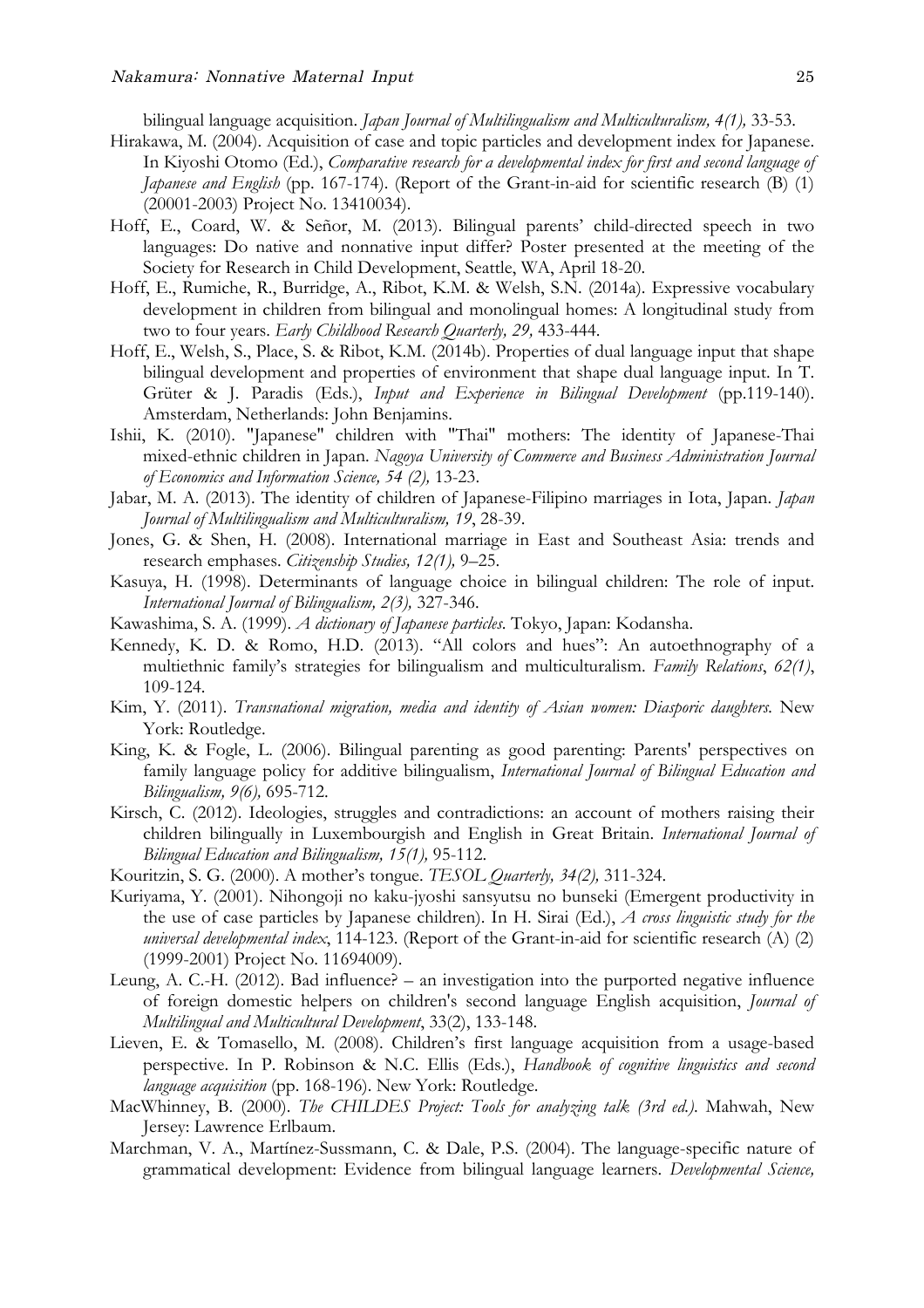bilingual language acquisition. *Japan Journal of Multilingualism and Multiculturalism, 4(1),* 33-53.

- Hirakawa, M. (2004). Acquisition of case and topic particles and development index for Japanese. In Kiyoshi Otomo (Ed.), *Comparative research for a developmental index for first and second language of Japanese and English* (pp. 167-174). (Report of the Grant-in-aid for scientific research (B) (1) (20001-2003) Project No. 13410034).
- Hoff, E., Coard, W. & Señor, M. (2013). Bilingual parents' child-directed speech in two languages: Do native and nonnative input differ? Poster presented at the meeting of the Society for Research in Child Development, Seattle, WA, April 18-20.
- Hoff, E., Rumiche, R., Burridge, A., Ribot, K.M. & Welsh, S.N. (2014a). Expressive vocabulary development in children from bilingual and monolingual homes: A longitudinal study from two to four years. *Early Childhood Research Quarterly, 29,* 433-444.
- Hoff, E., Welsh, S., Place, S. & Ribot, K.M. (2014b). Properties of dual language input that shape bilingual development and properties of environment that shape dual language input. In T. Grüter & J. Paradis (Eds.), *Input and Experience in Bilingual Development* (pp.119-140). Amsterdam, Netherlands: John Benjamins.
- Ishii, K. (2010). "Japanese" children with "Thai" mothers: The identity of Japanese-Thai mixed-ethnic children in Japan. *Nagoya University of Commerce and Business Administration Journal of Economics and Information Science, 54 (2),* 13-23.
- Jabar, M. A. (2013). The identity of children of Japanese-Filipino marriages in Iota, Japan. *Japan Journal of Multilingualism and Multiculturalism, 19*, 28-39.
- Jones, G. & Shen, H. (2008). International marriage in East and Southeast Asia: trends and research emphases. *Citizenship Studies, 12(1),* 9–25.
- Kasuya, H. (1998). Determinants of language choice in bilingual children: The role of input. *International Journal of Bilingualism, 2(3),* 327-346.
- Kawashima, S. A. (1999). *A dictionary of Japanese particles*. Tokyo, Japan: Kodansha.
- Kennedy, K. D. & Romo, H.D. (2013). "All colors and hues": An autoethnography of a multiethnic family's strategies for bilingualism and multiculturalism. *Family Relations*, *62(1)*, 109-124.
- Kim, Y. (2011). *Transnational migration, media and identity of Asian women: Diasporic daughters.* New York: Routledge.
- King, K. & Fogle, L. (2006). Bilingual parenting as good parenting: Parents' perspectives on family language policy for additive bilingualism, *International Journal of Bilingual Education and Bilingualism, 9(6),* 695-712.
- Kirsch, C. (2012). Ideologies, struggles and contradictions: an account of mothers raising their children bilingually in Luxembourgish and English in Great Britain. *International Journal of Bilingual Education and Bilingualism, 15(1),* 95-112.
- Kouritzin, S. G. (2000). A mother's tongue. *TESOL Quarterly, 34(2),* 311-324.
- Kuriyama, Y. (2001). Nihongoji no kaku-jyoshi sansyutsu no bunseki (Emergent productivity in the use of case particles by Japanese children). In H. Sirai (Ed.), *A cross linguistic study for the universal developmental index*, 114-123. (Report of the Grant-in-aid for scientific research (A) (2) (1999-2001) Project No. 11694009).
- Leung, A. C.-H. (2012). Bad influence? an investigation into the purported negative influence of foreign domestic helpers on children's second language English acquisition, *Journal of Multilingual and Multicultural Development*, 33(2), 133-148.
- Lieven, E. & Tomasello, M. (2008). Children's first language acquisition from a usage-based perspective. In P. Robinson & N.C. Ellis (Eds.), *Handbook of cognitive linguistics and second language acquisition* (pp. 168-196). New York: Routledge.
- MacWhinney, B. (2000). *The CHILDES Project: Tools for analyzing talk (3rd ed.)*. Mahwah, New Jersey: Lawrence Erlbaum.
- Marchman, V. A., Martínez-Sussmann, C. & Dale, P.S. (2004). The language-specific nature of grammatical development: Evidence from bilingual language learners. *Developmental Science,*